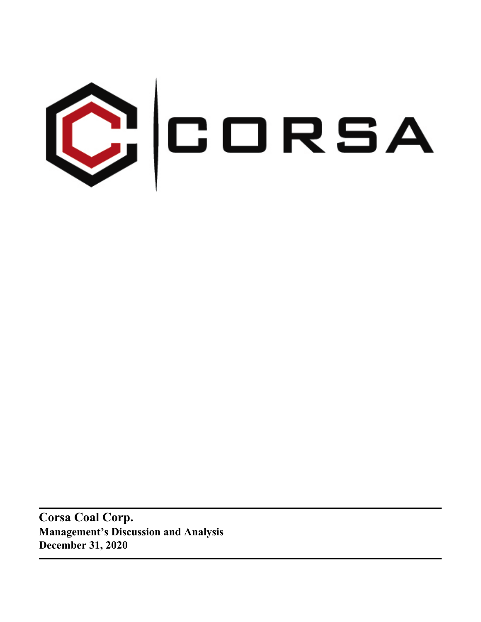

**Corsa Coal Corp. Management's Discussion and Analysis December 31, 2020**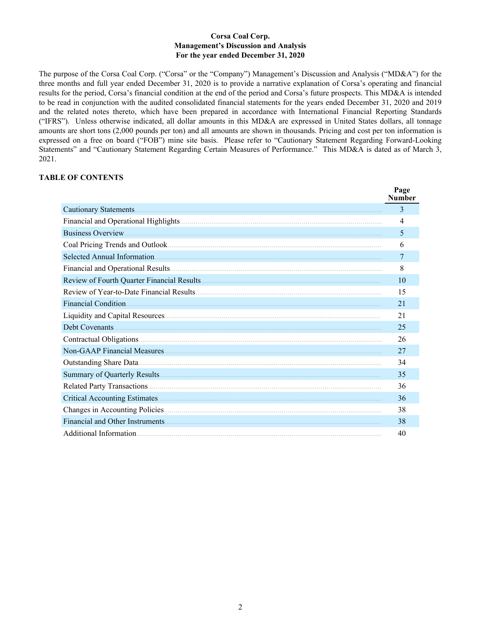### **Corsa Coal Corp. Management's Discussion and Analysis For the year ended December 31, 2020**

The purpose of the Corsa Coal Corp. ("Corsa" or the "Company") Management's Discussion and Analysis ("MD&A") for the three months and full year ended December 31, 2020 is to provide a narrative explanation of Corsa's operating and financial results for the period, Corsa's financial condition at the end of the period and Corsa's future prospects. This MD&A is intended to be read in conjunction with the audited consolidated financial statements for the years ended December 31, 2020 and 2019 and the related notes thereto, which have been prepared in accordance with International Financial Reporting Standards ("IFRS"). Unless otherwise indicated, all dollar amounts in this MD&A are expressed in United States dollars, all tonnage amounts are short tons (2,000 pounds per ton) and all amounts are shown in thousands. Pricing and cost per ton information is expressed on a free on board ("FOB") mine site basis. Please refer to "Cautionary Statement Regarding Forward-Looking Statements" and "Cautionary Statement Regarding Certain Measures of Performance." This MD&A is dated as of March 3, 2021.

 $\mathbf{p}_{\alpha}$ 

# **TABLE OF CONTENTS**

| r age<br><b>Number</b> |
|------------------------|
| 3                      |
| 4                      |
| 5                      |
| 6                      |
| 7                      |
| 8                      |
| 10                     |
| 15                     |
| 21                     |
| 21                     |
| 25                     |
| 26                     |
| 27                     |
| 34                     |
| 35                     |
| 36                     |
| 36                     |
| 38                     |
| 38                     |
| 40                     |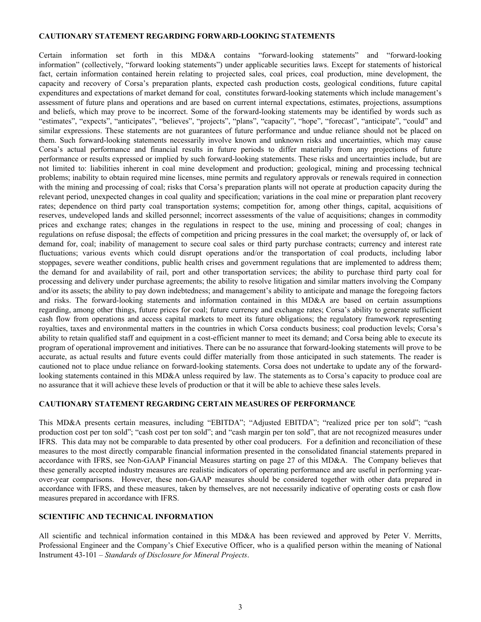#### <span id="page-2-0"></span>**CAUTIONARY STATEMENT REGARDING FORWARD-LOOKING STATEMENTS**

Certain information set forth in this MD&A contains "forward-looking statements" and "forward-looking information" (collectively, "forward looking statements") under applicable securities laws. Except for statements of historical fact, certain information contained herein relating to projected sales, coal prices, coal production, mine development, the capacity and recovery of Corsa's preparation plants, expected cash production costs, geological conditions, future capital expenditures and expectations of market demand for coal, constitutes forward-looking statements which include management's assessment of future plans and operations and are based on current internal expectations, estimates, projections, assumptions and beliefs, which may prove to be incorrect. Some of the forward-looking statements may be identified by words such as "estimates", "expects", "anticipates", "believes", "projects", "plans", "capacity", "hope", "forecast", "anticipate", "could" and similar expressions. These statements are not guarantees of future performance and undue reliance should not be placed on them. Such forward-looking statements necessarily involve known and unknown risks and uncertainties, which may cause Corsa's actual performance and financial results in future periods to differ materially from any projections of future performance or results expressed or implied by such forward-looking statements. These risks and uncertainties include, but are not limited to: liabilities inherent in coal mine development and production; geological, mining and processing technical problems; inability to obtain required mine licenses, mine permits and regulatory approvals or renewals required in connection with the mining and processing of coal; risks that Corsa's preparation plants will not operate at production capacity during the relevant period, unexpected changes in coal quality and specification; variations in the coal mine or preparation plant recovery rates; dependence on third party coal transportation systems; competition for, among other things, capital, acquisitions of reserves, undeveloped lands and skilled personnel; incorrect assessments of the value of acquisitions; changes in commodity prices and exchange rates; changes in the regulations in respect to the use, mining and processing of coal; changes in regulations on refuse disposal; the effects of competition and pricing pressures in the coal market; the oversupply of, or lack of demand for, coal; inability of management to secure coal sales or third party purchase contracts; currency and interest rate fluctuations; various events which could disrupt operations and/or the transportation of coal products, including labor stoppages, severe weather conditions, public health crises and government regulations that are implemented to address them; the demand for and availability of rail, port and other transportation services; the ability to purchase third party coal for processing and delivery under purchase agreements; the ability to resolve litigation and similar matters involving the Company and/or its assets; the ability to pay down indebtedness; and management's ability to anticipate and manage the foregoing factors and risks. The forward-looking statements and information contained in this MD&A are based on certain assumptions regarding, among other things, future prices for coal; future currency and exchange rates; Corsa's ability to generate sufficient cash flow from operations and access capital markets to meet its future obligations; the regulatory framework representing royalties, taxes and environmental matters in the countries in which Corsa conducts business; coal production levels; Corsa's ability to retain qualified staff and equipment in a cost-efficient manner to meet its demand; and Corsa being able to execute its program of operational improvement and initiatives. There can be no assurance that forward-looking statements will prove to be accurate, as actual results and future events could differ materially from those anticipated in such statements. The reader is cautioned not to place undue reliance on forward-looking statements. Corsa does not undertake to update any of the forwardlooking statements contained in this MD&A unless required by law. The statements as to Corsa's capacity to produce coal are no assurance that it will achieve these levels of production or that it will be able to achieve these sales levels.

# **CAUTIONARY STATEMENT REGARDING CERTAIN MEASURES OF PERFORMANCE**

This MD&A presents certain measures, including "EBITDA"; "Adjusted EBITDA"; "realized price per ton sold"; "cash production cost per ton sold"; "cash cost per ton sold"; and "cash margin per ton sold", that are not recognized measures under IFRS. This data may not be comparable to data presented by other coal producers. For a definition and reconciliation of these measures to the most directly comparable financial information presented in the consolidated financial statements prepared in accordance with IFRS, see Non-GAAP Financial Measures starting on page 27 of this MD&A. The Company believes that these generally accepted industry measures are realistic indicators of operating performance and are useful in performing yearover-year comparisons. However, these non-GAAP measures should be considered together with other data prepared in accordance with IFRS, and these measures, taken by themselves, are not necessarily indicative of operating costs or cash flow measures prepared in accordance with IFRS.

#### **SCIENTIFIC AND TECHNICAL INFORMATION**

All scientific and technical information contained in this MD&A has been reviewed and approved by Peter V. Merritts, Professional Engineer and the Company's Chief Executive Officer, who is a qualified person within the meaning of National Instrument 43-101 – *Standards of Disclosure for Mineral Projects*.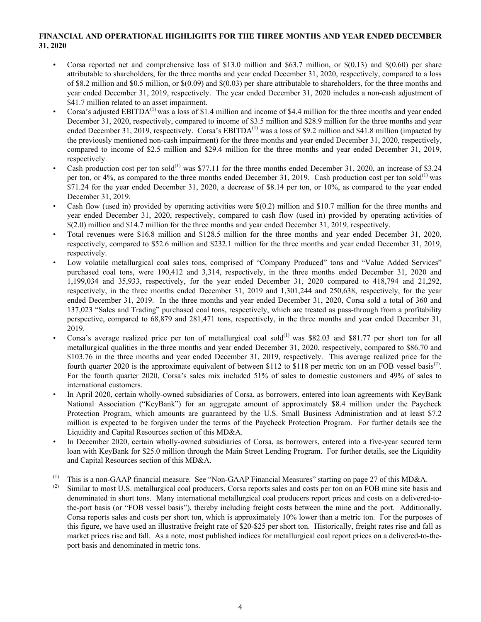# <span id="page-3-0"></span>**FINANCIAL AND OPERATIONAL HIGHLIGHTS FOR THE THREE MONTHS AND YEAR ENDED DECEMBER 31, 2020**

- Corsa reported net and comprehensive loss of \$13.0 million and \$63.7 million, or  $\frac{\mathcal{S}(0.13)}{\mathcal{S}(0.60)}$  per share attributable to shareholders, for the three months and year ended December 31, 2020, respectively, compared to a loss of \$8.2 million and \$0.5 million, or \$(0.09) and \$(0.03) per share attributable to shareholders, for the three months and year ended December 31, 2019, respectively. The year ended December 31, 2020 includes a non-cash adjustment of \$41.7 million related to an asset impairment.
- Corsa's adjusted EBITDA<sup>(1)</sup> was a loss of \$1.4 million and income of \$4.4 million for the three months and year ended December 31, 2020, respectively, compared to income of \$3.5 million and \$28.9 million for the three months and year ended December 31, 2019, respectively. Corsa's EBITDA<sup>(1)</sup> was a loss of \$9.2 million and \$41.8 million (impacted by the previously mentioned non-cash impairment) for the three months and year ended December 31, 2020, respectively, compared to income of \$2.5 million and \$29.4 million for the three months and year ended December 31, 2019, respectively.
- Cash production cost per ton sold<sup>(1)</sup> was \$77.11 for the three months ended December 31, 2020, an increase of \$3.24 per ton, or 4%, as compared to the three months ended December 31, 2019. Cash production cost per ton sold<sup>(1)</sup> was \$71.24 for the year ended December 31, 2020, a decrease of \$8.14 per ton, or 10%, as compared to the year ended December 31, 2019.
- Cash flow (used in) provided by operating activities were \$(0.2) million and \$10.7 million for the three months and year ended December 31, 2020, respectively, compared to cash flow (used in) provided by operating activities of \$(2.0) million and \$14.7 million for the three months and year ended December 31, 2019, respectively.
- Total revenues were \$16.8 million and \$128.5 million for the three months and year ended December 31, 2020, respectively, compared to \$52.6 million and \$232.1 million for the three months and year ended December 31, 2019, respectively.
- Low volatile metallurgical coal sales tons, comprised of "Company Produced" tons and "Value Added Services" purchased coal tons, were 190,412 and 3,314, respectively, in the three months ended December 31, 2020 and 1,199,034 and 35,933, respectively, for the year ended December 31, 2020 compared to 418,794 and 21,292, respectively, in the three months ended December 31, 2019 and 1,301,244 and 250,638, respectively, for the year ended December 31, 2019. In the three months and year ended December 31, 2020, Corsa sold a total of 360 and 137,023 "Sales and Trading" purchased coal tons, respectively, which are treated as pass-through from a profitability perspective, compared to 68,879 and 281,471 tons, respectively, in the three months and year ended December 31, 2019.
- Corsa's average realized price per ton of metallurgical coal sold<sup>(1)</sup> was \$82.03 and \$81.77 per short ton for all metallurgical qualities in the three months and year ended December 31, 2020, respectively, compared to \$86.70 and \$103.76 in the three months and year ended December 31, 2019, respectively. This average realized price for the fourth quarter 2020 is the approximate equivalent of between \$112 to \$118 per metric ton on an FOB vessel basis<sup>(2)</sup>. For the fourth quarter 2020, Corsa's sales mix included 51% of sales to domestic customers and 49% of sales to international customers.
- In April 2020, certain wholly-owned subsidiaries of Corsa, as borrowers, entered into loan agreements with KeyBank National Association ("KeyBank") for an aggregate amount of approximately \$8.4 million under the Paycheck Protection Program, which amounts are guaranteed by the U.S. Small Business Administration and at least \$7.2 million is expected to be forgiven under the terms of the Paycheck Protection Program. For further details see the Liquidity and Capital Resources section of this MD&A.
- In December 2020, certain wholly-owned subsidiaries of Corsa, as borrowers, entered into a five-year secured term loan with KeyBank for \$25.0 million through the Main Street Lending Program. For further details, see the Liquidity and Capital Resources section of this MD&A.
- (1) This is a non-GAAP financial measure. See "Non-GAAP Financial Measures" starting on page 27 of this MD&A.
- Similar to most U.S. metallurgical coal producers, Corsa reports sales and costs per ton on an FOB mine site basis and denominated in short tons. Many international metallurgical coal producers report prices and costs on a delivered-tothe-port basis (or "FOB vessel basis"), thereby including freight costs between the mine and the port. Additionally, Corsa reports sales and costs per short ton, which is approximately 10% lower than a metric ton. For the purposes of this figure, we have used an illustrative freight rate of \$20-\$25 per short ton. Historically, freight rates rise and fall as market prices rise and fall. As a note, most published indices for metallurgical coal report prices on a delivered-to-theport basis and denominated in metric tons.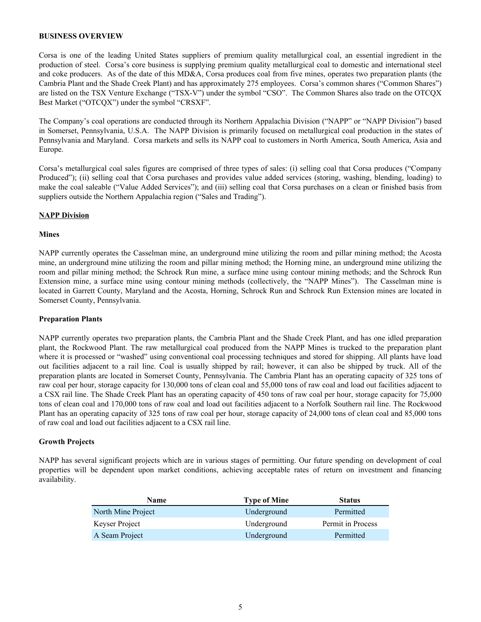### <span id="page-4-0"></span>**BUSINESS OVERVIEW**

Corsa is one of the leading United States suppliers of premium quality metallurgical coal, an essential ingredient in the production of steel. Corsa's core business is supplying premium quality metallurgical coal to domestic and international steel and coke producers. As of the date of this MD&A, Corsa produces coal from five mines, operates two preparation plants (the Cambria Plant and the Shade Creek Plant) and has approximately 275 employees. Corsa's common shares ("Common Shares") are listed on the TSX Venture Exchange ("TSX-V") under the symbol "CSO". The Common Shares also trade on the OTCQX Best Market ("OTCQX") under the symbol "CRSXF".

The Company's coal operations are conducted through its Northern Appalachia Division ("NAPP" or "NAPP Division") based in Somerset, Pennsylvania, U.S.A. The NAPP Division is primarily focused on metallurgical coal production in the states of Pennsylvania and Maryland. Corsa markets and sells its NAPP coal to customers in North America, South America, Asia and Europe.

Corsa's metallurgical coal sales figures are comprised of three types of sales: (i) selling coal that Corsa produces ("Company Produced"); (ii) selling coal that Corsa purchases and provides value added services (storing, washing, blending, loading) to make the coal saleable ("Value Added Services"); and (iii) selling coal that Corsa purchases on a clean or finished basis from suppliers outside the Northern Appalachia region ("Sales and Trading").

#### **NAPP Division**

#### **Mines**

NAPP currently operates the Casselman mine, an underground mine utilizing the room and pillar mining method; the Acosta mine, an underground mine utilizing the room and pillar mining method; the Horning mine, an underground mine utilizing the room and pillar mining method; the Schrock Run mine, a surface mine using contour mining methods; and the Schrock Run Extension mine, a surface mine using contour mining methods (collectively, the "NAPP Mines"). The Casselman mine is located in Garrett County, Maryland and the Acosta, Horning, Schrock Run and Schrock Run Extension mines are located in Somerset County, Pennsylvania.

#### **Preparation Plants**

NAPP currently operates two preparation plants, the Cambria Plant and the Shade Creek Plant, and has one idled preparation plant, the Rockwood Plant. The raw metallurgical coal produced from the NAPP Mines is trucked to the preparation plant where it is processed or "washed" using conventional coal processing techniques and stored for shipping. All plants have load out facilities adjacent to a rail line. Coal is usually shipped by rail; however, it can also be shipped by truck. All of the preparation plants are located in Somerset County, Pennsylvania. The Cambria Plant has an operating capacity of 325 tons of raw coal per hour, storage capacity for 130,000 tons of clean coal and 55,000 tons of raw coal and load out facilities adjacent to a CSX rail line. The Shade Creek Plant has an operating capacity of 450 tons of raw coal per hour, storage capacity for 75,000 tons of clean coal and 170,000 tons of raw coal and load out facilities adjacent to a Norfolk Southern rail line. The Rockwood Plant has an operating capacity of 325 tons of raw coal per hour, storage capacity of 24,000 tons of clean coal and 85,000 tons of raw coal and load out facilities adjacent to a CSX rail line.

# **Growth Projects**

NAPP has several significant projects which are in various stages of permitting. Our future spending on development of coal properties will be dependent upon market conditions, achieving acceptable rates of return on investment and financing availability.

| <b>Name</b>        | <b>Type of Mine</b> | <b>Status</b>     |
|--------------------|---------------------|-------------------|
| North Mine Project | Underground         | Permitted         |
| Keyser Project     | Underground         | Permit in Process |
| A Seam Project     | Underground         | Permitted         |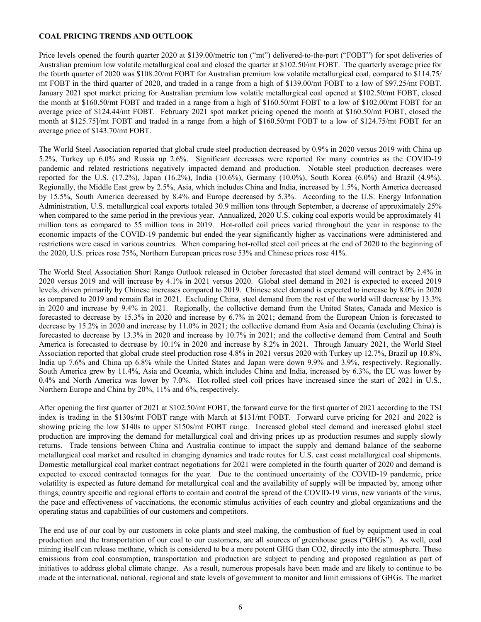### <span id="page-5-0"></span>**COAL PRICING TRENDS AND OUTLOOK**

Price levels opened the fourth quarter 2020 at \$139.00/metric ton ("mt") delivered-to-the-port ("FOBT") for spot deliveries of Australian premium low volatile metallurgical coal and closed the quarter at \$102.50/mt FOBT. The quarterly average price for the fourth quarter of 2020 was \$108.20/mt FOBT for Australian premium low volatile metallurgical coal, compared to \$114.75/ mt FOBT in the third quarter of 2020, and traded in a range from a high of \$139.00/mt FOBT to a low of \$97.25/mt FOBT. January 2021 spot market pricing for Australian premium low volatile metallurgical coal opened at \$102.50/mt FOBT, closed the month at \$160.50/mt FOBT and traded in a range from a high of \$160.50/mt FOBT to a low of \$102.00/mt FOBT for an average price of \$124.44/mt FOBT. February 2021 spot market pricing opened the month at \$160.50/mt FOBT, closed the month at \$125.75]/mt FOBT and traded in a range from a high of \$160.50/mt FOBT to a low of \$124.75/mt FOBT for an average price of \$143.70/mt FOBT.

The World Steel Association reported that global crude steel production decreased by 0.9% in 2020 versus 2019 with China up 5.2%, Turkey up 6.0% and Russia up 2.6%. Significant decreases were reported for many countries as the COVID-19 pandemic and related restrictions negatively impacted demand and production. Notable steel production decreases were reported for the U.S. (17.2%), Japan (16.2%), India (10.6%), Germany (10.0%), South Korea (6.0%) and Brazil (4.9%). Regionally, the Middle East grew by 2.5%, Asia, which includes China and India, increased by 1.5%, North America decreased by 15.5%, South America decreased by 8.4% and Europe decreased by 5.3%. According to the U.S. Energy Information Administration, U.S. metallurgical coal exports totaled 30.9 million tons through September, a decrease of approximately 25% when compared to the same period in the previous year. Annualized, 2020 U.S. coking coal exports would be approximately 41 million tons as compared to 55 million tons in 2019. Hot-rolled coil prices varied throughout the year in response to the economic impacts of the COVID-19 pandemic but ended the year significantly higher as vaccinations were administered and restrictions were eased in various countries. When comparing hot-rolled steel coil prices at the end of 2020 to the beginning of the 2020, U.S. prices rose 75%, Northern European prices rose 53% and Chinese prices rose 41%.

The World Steel Association Short Range Outlook released in October forecasted that steel demand will contract by 2.4% in 2020 versus 2019 and will increase by 4.1% in 2021 versus 2020. Global steel demand in 2021 is expected to exceed 2019 levels, driven primarily by Chinese increases compared to 2019. Chinese steel demand is expected to increase by 8.0% in 2020 as compared to 2019 and remain flat in 2021. Excluding China, steel demand from the rest of the world will decrease by 13.3% in 2020 and increase by 9.4% in 2021. Regionally, the collective demand from the United States, Canada and Mexico is forecasted to decrease by 15.3% in 2020 and increase by 6.7% in 2021; demand from the European Union is forecasted to decrease by 15.2% in 2020 and increase by 11.0% in 2021; the collective demand from Asia and Oceania (excluding China) is forecasted to decrease by 13.3% in 2020 and increase by 10.7% in 2021; and the collective demand from Central and South America is forecasted to decrease by 10.1% in 2020 and increase by 8.2% in 2021. Through January 2021, the World Steel Association reported that global crude steel production rose 4.8% in 2021 versus 2020 with Turkey up 12.7%, Brazil up 10.8%, India up 7.6% and China up 6.8% while the United States and Japan were down 9.9% and 3.9%, respectively. Regionally, South America grew by 11.4%, Asia and Oceania, which includes China and India, increased by 6.3%, the EU was lower by 0.4% and North America was lower by 7.0%. Hot-rolled steel coil prices have increased since the start of 2021 in U.S., Northern Europe and China by 20%, 11% and 6%, respectively.

After opening the first quarter of 2021 at \$102.50/mt FOBT, the forward curve for the first quarter of 2021 according to the TSI index is trading in the \$130s/mt FOBT range with March at \$131/mt FOBT. Forward curve pricing for 2021 and 2022 is showing pricing the low \$140s to upper \$150s/mt FOBT range. Increased global steel demand and increased global steel production are improving the demand for metallurgical coal and driving prices up as production resumes and supply slowly returns. Trade tensions between China and Australia continue to impact the supply and demand balance of the seaborne metallurgical coal market and resulted in changing dynamics and trade routes for U.S. east coast metallurgical coal shipments. Domestic metallurgical coal market contract negotiations for 2021 were completed in the fourth quarter of 2020 and demand is expected to exceed contracted tonnages for the year. Due to the continued uncertainty of the COVID-19 pandemic, price volatility is expected as future demand for metallurgical coal and the availability of supply will be impacted by, among other things, country specific and regional efforts to contain and control the spread of the COVID-19 virus, new variants of the virus, the pace and effectiveness of vaccinations, the economic stimulus activities of each country and global organizations and the operating status and capabilities of our customers and competitors.

The end use of our coal by our customers in coke plants and steel making, the combustion of fuel by equipment used in coal production and the transportation of our coal to our customers, are all sources of greenhouse gases ("GHGs"). As well, coal mining itself can release methane, which is considered to be a more potent GHG than CO2, directly into the atmosphere. These emissions from coal consumption, transportation and production are subject to pending and proposed regulation as part of initiatives to address global climate change. As a result, numerous proposals have been made and are likely to continue to be made at the international, national, regional and state levels of government to monitor and limit emissions of GHGs. The market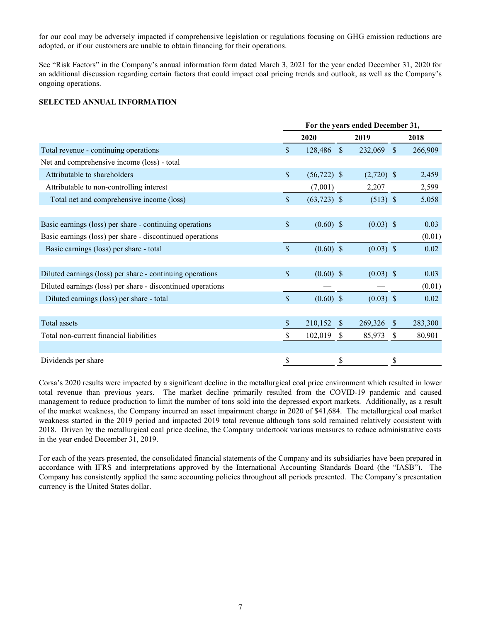<span id="page-6-0"></span>for our coal may be adversely impacted if comprehensive legislation or regulations focusing on GHG emission reductions are adopted, or if our customers are unable to obtain financing for their operations.

See "Risk Factors" in the Company's annual information form dated March 3, 2021 for the year ended December 31, 2020 for an additional discussion regarding certain factors that could impact coal pricing trends and outlook, as well as the Company's ongoing operations.

### **SELECTED ANNUAL INFORMATION**

| For the years ended December 31, |         |               |                                                                                                            |               |                                                                                                |  |  |
|----------------------------------|---------|---------------|------------------------------------------------------------------------------------------------------------|---------------|------------------------------------------------------------------------------------------------|--|--|
|                                  | 2020    |               | 2019                                                                                                       |               | 2018                                                                                           |  |  |
| \$                               | 128,486 |               | 232,069                                                                                                    |               | 266,909                                                                                        |  |  |
|                                  |         |               |                                                                                                            |               |                                                                                                |  |  |
| $\mathsf{\$}$                    |         |               |                                                                                                            |               | 2,459                                                                                          |  |  |
|                                  | (7,001) |               | 2,207                                                                                                      |               | 2,599                                                                                          |  |  |
| \$                               |         |               |                                                                                                            |               | 5,058                                                                                          |  |  |
|                                  |         |               |                                                                                                            |               |                                                                                                |  |  |
| \$                               |         |               |                                                                                                            |               | 0.03                                                                                           |  |  |
|                                  |         |               |                                                                                                            |               | (0.01)                                                                                         |  |  |
| \$                               |         |               |                                                                                                            |               | 0.02                                                                                           |  |  |
|                                  |         |               |                                                                                                            |               |                                                                                                |  |  |
| \$                               |         |               |                                                                                                            |               | 0.03                                                                                           |  |  |
|                                  |         |               |                                                                                                            |               | (0.01)                                                                                         |  |  |
| $\mathbb{S}$                     |         |               |                                                                                                            |               | 0.02                                                                                           |  |  |
|                                  |         |               |                                                                                                            |               |                                                                                                |  |  |
| \$                               | 210,152 | $\mathbb{S}$  | 269,326                                                                                                    | <sup>S</sup>  | 283,300                                                                                        |  |  |
| \$                               | 102,019 | <sup>\$</sup> | 85,973                                                                                                     | <sup>\$</sup> | 80,901                                                                                         |  |  |
|                                  |         |               |                                                                                                            |               |                                                                                                |  |  |
| \$                               |         | \$            |                                                                                                            | \$            |                                                                                                |  |  |
|                                  |         |               | $\mathbf S$<br>$(56, 722)$ \$<br>$(63,723)$ \$<br>$(0.60)$ \$<br>$(0.60)$ \$<br>$(0.60)$ \$<br>$(0.60)$ \$ |               | - \$<br>$(2,720)$ \$<br>$(513)$ \$<br>$(0.03)$ \$<br>$(0.03)$ \$<br>$(0.03)$ \$<br>$(0.03)$ \$ |  |  |

Corsa's 2020 results were impacted by a significant decline in the metallurgical coal price environment which resulted in lower total revenue than previous years. The market decline primarily resulted from the COVID-19 pandemic and caused management to reduce production to limit the number of tons sold into the depressed export markets. Additionally, as a result of the market weakness, the Company incurred an asset impairment charge in 2020 of \$41,684. The metallurgical coal market weakness started in the 2019 period and impacted 2019 total revenue although tons sold remained relatively consistent with 2018. Driven by the metallurgical coal price decline, the Company undertook various measures to reduce administrative costs in the year ended December 31, 2019.

For each of the years presented, the consolidated financial statements of the Company and its subsidiaries have been prepared in accordance with IFRS and interpretations approved by the International Accounting Standards Board (the "IASB"). The Company has consistently applied the same accounting policies throughout all periods presented. The Company's presentation currency is the United States dollar.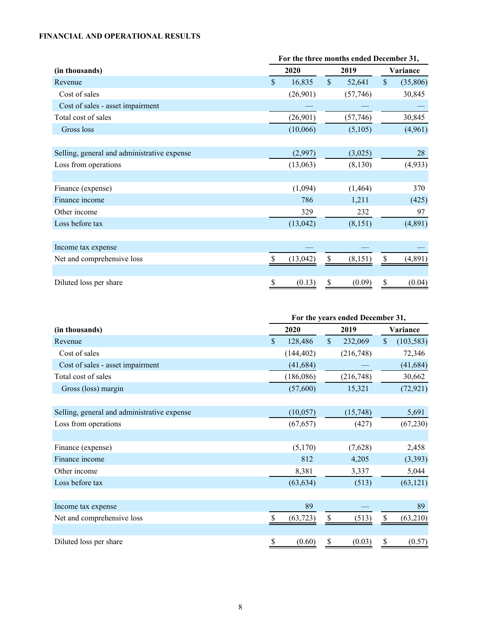# <span id="page-7-0"></span>**FINANCIAL AND OPERATIONAL RESULTS**

|                                             | For the three months ended December 31, |           |              |           |               |          |  |          |  |
|---------------------------------------------|-----------------------------------------|-----------|--------------|-----------|---------------|----------|--|----------|--|
| (in thousands)                              |                                         | 2020      |              | 2019      |               |          |  | Variance |  |
| Revenue                                     | $\mathsf{\$}$                           | 16,835    | $\mathbb{S}$ | 52,641    | $\mathsf{\$}$ | (35,806) |  |          |  |
| Cost of sales                               |                                         | (26,901)  |              | (57,746)  |               | 30,845   |  |          |  |
| Cost of sales - asset impairment            |                                         |           |              |           |               |          |  |          |  |
| Total cost of sales                         |                                         | (26,901)  |              | (57, 746) |               | 30,845   |  |          |  |
| Gross loss                                  |                                         | (10,066)  |              | (5,105)   |               | (4,961)  |  |          |  |
|                                             |                                         |           |              |           |               |          |  |          |  |
| Selling, general and administrative expense |                                         | (2,997)   |              | (3,025)   |               | 28       |  |          |  |
| Loss from operations                        |                                         | (13,063)  |              | (8,130)   |               | (4,933)  |  |          |  |
|                                             |                                         |           |              |           |               |          |  |          |  |
| Finance (expense)                           |                                         | (1,094)   |              | (1, 464)  |               | 370      |  |          |  |
| Finance income                              |                                         | 786       |              | 1,211     |               | (425)    |  |          |  |
| Other income                                |                                         | 329       |              | 232       |               | 97       |  |          |  |
| Loss before tax                             |                                         | (13, 042) |              | (8,151)   |               | (4,891)  |  |          |  |
|                                             |                                         |           |              |           |               |          |  |          |  |
| Income tax expense                          |                                         |           |              |           |               |          |  |          |  |
| Net and comprehensive loss                  |                                         | (13, 042) |              | (8, 151)  | \$            | (4,891)  |  |          |  |
|                                             |                                         |           |              |           |               |          |  |          |  |
| Diluted loss per share                      |                                         | (0.13)    | \$           | (0.09)    | \$            | (0.04)   |  |          |  |

|                                             | For the years ended December 31, |            |              |            |               |            |  |  |
|---------------------------------------------|----------------------------------|------------|--------------|------------|---------------|------------|--|--|
| (in thousands)                              |                                  | 2020       |              | 2019       |               | Variance   |  |  |
| Revenue                                     | \$                               | 128,486    | $\mathbb{S}$ | 232,069    | $\mathsf{\$}$ | (103, 583) |  |  |
| Cost of sales                               |                                  | (144, 402) |              | (216,748)  |               | 72,346     |  |  |
| Cost of sales - asset impairment            |                                  | (41, 684)  |              |            |               | (41, 684)  |  |  |
| Total cost of sales                         |                                  | (186,086)  |              | (216, 748) |               | 30,662     |  |  |
| Gross (loss) margin                         |                                  | (57,600)   |              | 15,321     |               | (72, 921)  |  |  |
|                                             |                                  |            |              |            |               |            |  |  |
| Selling, general and administrative expense |                                  | (10,057)   |              | (15,748)   |               | 5,691      |  |  |
| Loss from operations                        |                                  | (67, 657)  |              | (427)      |               | (67,230)   |  |  |
|                                             |                                  |            |              |            |               |            |  |  |
| Finance (expense)                           |                                  | (5,170)    |              | (7,628)    |               | 2,458      |  |  |
| Finance income                              |                                  | 812        |              | 4,205      |               | (3, 393)   |  |  |
| Other income                                |                                  | 8,381      |              | 3,337      |               | 5,044      |  |  |
| Loss before tax                             |                                  | (63, 634)  |              | (513)      |               | (63, 121)  |  |  |
|                                             |                                  |            |              |            |               |            |  |  |
| Income tax expense                          |                                  | 89         |              |            |               | 89         |  |  |
| Net and comprehensive loss                  |                                  | (63, 723)  |              | (513)      | \$            | (63,210)   |  |  |
|                                             |                                  |            |              |            |               |            |  |  |
| Diluted loss per share                      | \$                               | (0.60)     | \$           | (0.03)     | \$            | (0.57)     |  |  |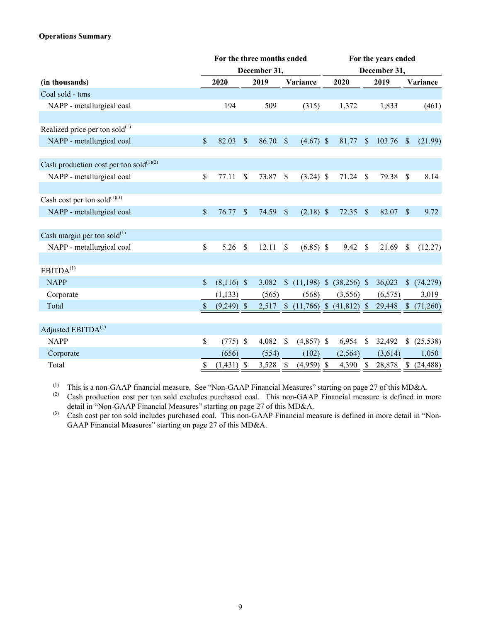# **Operations Summary**

|                                               | For the three months ended |              |               |       |               | For the years ended              |  |         |               |          |               |           |
|-----------------------------------------------|----------------------------|--------------|---------------|-------|---------------|----------------------------------|--|---------|---------------|----------|---------------|-----------|
|                                               | December 31,               |              |               |       |               |                                  |  |         | December 31,  |          |               |           |
| (in thousands)                                |                            | 2020         |               | 2019  |               | Variance                         |  | 2020    |               | 2019     |               | Variance  |
| Coal sold - tons                              |                            |              |               |       |               |                                  |  |         |               |          |               |           |
| NAPP - metallurgical coal                     |                            | 194          |               | 509   |               | (315)                            |  | 1,372   |               | 1,833    |               | (461)     |
| Realized price per ton sold $^{(1)}$          |                            |              |               |       |               |                                  |  |         |               |          |               |           |
|                                               | $\mathsf{\$}$              | 82.03        | $\mathbb{S}$  | 86.70 | $\mathcal{S}$ | $(4.67)$ \$                      |  | 81.77   | <sup>S</sup>  |          |               |           |
| NAPP - metallurgical coal                     |                            |              |               |       |               |                                  |  |         |               | 103.76   | $\mathcal{S}$ | (21.99)   |
| Cash production cost per ton sold $^{(1)(2)}$ |                            |              |               |       |               |                                  |  |         |               |          |               |           |
| NAPP - metallurgical coal                     | \$                         | 77.11        | \$            | 73.87 | \$            | $(3.24)$ \$                      |  | 71.24   | $\mathcal{S}$ | 79.38    | $\mathcal{S}$ | 8.14      |
|                                               |                            |              |               |       |               |                                  |  |         |               |          |               |           |
| Cash cost per ton sold $^{(1)(3)}$            |                            |              |               |       |               |                                  |  |         |               |          |               |           |
| NAPP - metallurgical coal                     | $\mathsf{\$}$              | 76.77        | \$            | 74.59 | $\sqrt{\ }$   | $(2.18)$ \$                      |  | 72.35   | $\mathcal{S}$ | 82.07    | $\mathcal{S}$ | 9.72      |
| Cash margin per ton sold $^{(1)}$             |                            |              |               |       |               |                                  |  |         |               |          |               |           |
| NAPP - metallurgical coal                     | \$                         | 5.26         | $\mathcal{S}$ | 12.11 | $\mathsf{\$}$ | $(6.85)$ \$                      |  | 9.42    | $\mathcal{S}$ | 21.69    | \$            | (12.27)   |
|                                               |                            |              |               |       |               |                                  |  |         |               |          |               |           |
| EBITDA <sup>(1)</sup>                         |                            |              |               |       |               |                                  |  |         |               |          |               |           |
| <b>NAPP</b>                                   | $\mathbb{S}$               | $(8,116)$ \$ |               | 3,082 |               | \$(11,198) \$(38,256) \$         |  |         |               | 36,023   | $\mathbb{S}$  | (74, 279) |
| Corporate                                     |                            | (1, 133)     |               | (565) |               | (568)                            |  | (3,556) |               | (6, 575) |               | 3,019     |
| Total                                         | $\boldsymbol{\mathsf{S}}$  | $(9,249)$ \$ |               |       |               | 2,517 \$ (11,766) \$ (41,812) \$ |  |         |               | 29,448   | $\mathbb{S}$  | (71,260)  |
| Adjusted EBITDA <sup>(1)</sup>                |                            |              |               |       |               |                                  |  |         |               |          |               |           |
| <b>NAPP</b>                                   | \$                         | $(775)$ \$   |               | 4,082 | \$            | $(4,857)$ \$                     |  | 6,954   | $\mathcal{S}$ | 32,492   | S             | (25, 538) |
| Corporate                                     |                            | (656)        |               | (554) |               | (102)                            |  | (2,564) |               | (3,614)  |               | 1,050     |
| Total                                         | \$                         | $(1,431)$ \$ |               | 3,528 | $\mathcal{S}$ | $(4,959)$ \$                     |  | 4,390   | $\mathbb{S}$  | 28,878   | $\mathbb{S}$  | (24, 488) |

(1) This is a non-GAAP financial measure. See "Non-GAAP Financial Measures" starting on page 27 of this MD&A.<br>(2) Cash production cost per ton sold excludes purchased coal. This non-GAAP Financial measure is defined in m

Cash production cost per ton sold excludes purchased coal. This non-GAAP Financial measure is defined in more detail in "Non-GAAP Financial Measures" starting on page 27 of this MD&A.

(3) Cash cost per ton sold includes purchased coal. This non-GAAP Financial measure is defined in more detail in "Non-GAAP Financial Measures" starting on page 27 of this MD&A.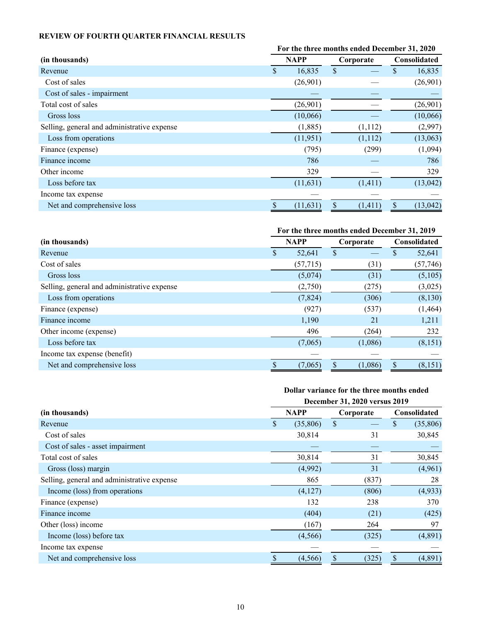# <span id="page-9-0"></span>**REVIEW OF FOURTH QUARTER FINANCIAL RESULTS**

|                                             | For the three months ended December 31, 2020 |           |           |          |                     |           |  |
|---------------------------------------------|----------------------------------------------|-----------|-----------|----------|---------------------|-----------|--|
| (in thousands)                              | <b>NAPP</b>                                  |           | Corporate |          | <b>Consolidated</b> |           |  |
| Revenue                                     | \$                                           | 16,835    | \$        |          | \$                  | 16,835    |  |
| Cost of sales                               |                                              | (26,901)  |           |          |                     | (26,901)  |  |
| Cost of sales - impairment                  |                                              |           |           |          |                     |           |  |
| Total cost of sales                         |                                              | (26,901)  |           |          |                     | (26,901)  |  |
| Gross loss                                  |                                              | (10,066)  |           |          |                     | (10,066)  |  |
| Selling, general and administrative expense |                                              | (1,885)   |           | (1,112)  |                     | (2,997)   |  |
| Loss from operations                        |                                              | (11, 951) |           | (1,112)  |                     | (13,063)  |  |
| Finance (expense)                           |                                              | (795)     |           | (299)    |                     | (1,094)   |  |
| Finance income                              |                                              | 786       |           |          |                     | 786       |  |
| Other income                                |                                              | 329       |           |          |                     | 329       |  |
| Loss before tax                             |                                              | (11, 631) |           | (1, 411) |                     | (13, 042) |  |
| Income tax expense                          |                                              |           |           |          |                     |           |  |
| Net and comprehensive loss                  |                                              | (11, 631) | \$        | (1, 411) | \$                  | (13, 042) |  |

# **For the three months ended December 31, 2019 (in thousands) NAPP Corporate Consolidated** Revenue \$ 52,641 \$ — \$ 52,641 Cost of sales (57,715) (31) (57,746) Gross loss (5,074) (31) (5,105) Selling, general and administrative expense (2,750) (275) (3,025) Loss from operations  $(7,824)$   $(306)$   $(8,130)$ Finance (expense) (927) (537) (1,464) Finance income 1,190 21 1,211 Other income (expense) 496 (264) 232  $Loss before tax$  (7,065) (1,086) (8,151) Income tax expense (benefit) — — — Net and comprehensive loss  $\overline{\$}$  (7,065)  $\overline{\$}$  (1,086)  $\overline{\$}$  (8,151)

#### **Dollar variance for the three months ended December 31, 2020 versus 2019**

|                                             | December 31, 2020 versus 2019 |             |               |                                      |  |  |  |  |  |  |  |
|---------------------------------------------|-------------------------------|-------------|---------------|--------------------------------------|--|--|--|--|--|--|--|
| (in thousands)                              |                               | <b>NAPP</b> | Corporate     | <b>Consolidated</b>                  |  |  |  |  |  |  |  |
| Revenue                                     | S                             | (35,806)    | $\mathcal{S}$ | (35,806)<br>S                        |  |  |  |  |  |  |  |
| Cost of sales                               |                               | 30,814      | 31            | 30,845                               |  |  |  |  |  |  |  |
| Cost of sales - asset impairment            |                               |             |               |                                      |  |  |  |  |  |  |  |
| Total cost of sales                         |                               | 30,814      | 31            | 30,845                               |  |  |  |  |  |  |  |
| Gross (loss) margin                         |                               | (4,992)     | 31            | (4,961)                              |  |  |  |  |  |  |  |
| Selling, general and administrative expense |                               | 865         | (837)         | 28                                   |  |  |  |  |  |  |  |
| Income (loss) from operations               |                               | (4,127)     | (806)         | (4,933)                              |  |  |  |  |  |  |  |
| Finance (expense)                           |                               | 132         | 238           | 370                                  |  |  |  |  |  |  |  |
| Finance income                              |                               | (404)       | (21)          | (425)                                |  |  |  |  |  |  |  |
| Other (loss) income                         |                               | (167)       | 264           | 97                                   |  |  |  |  |  |  |  |
| Income (loss) before tax                    |                               | (4,566)     | (325)         | (4,891)                              |  |  |  |  |  |  |  |
| Income tax expense                          |                               |             |               |                                      |  |  |  |  |  |  |  |
| Net and comprehensive loss                  | S                             | (4, 566)    | \$<br>(325)   | $\boldsymbol{\mathsf{S}}$<br>(4,891) |  |  |  |  |  |  |  |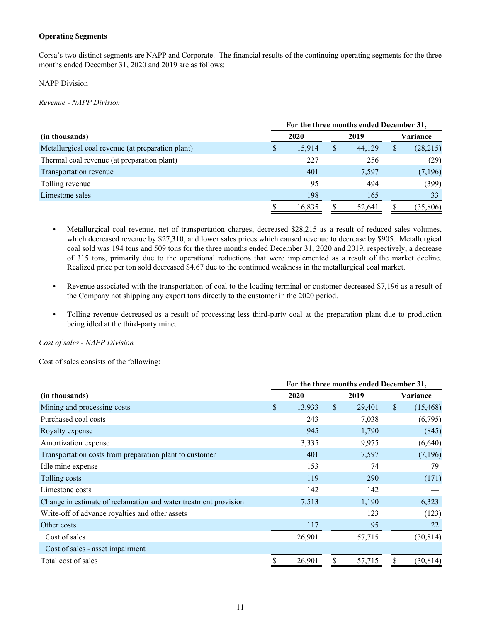# **Operating Segments**

Corsa's two distinct segments are NAPP and Corporate. The financial results of the continuing operating segments for the three months ended December 31, 2020 and 2019 are as follows:

# NAPP Division

*Revenue - NAPP Division*

|                                                   | For the three months ended December 31, |        |    |        |          |          |  |  |  |  |  |
|---------------------------------------------------|-----------------------------------------|--------|----|--------|----------|----------|--|--|--|--|--|
| (in thousands)                                    |                                         | 2020   |    | 2019   | Variance |          |  |  |  |  |  |
| Metallurgical coal revenue (at preparation plant) | S                                       | 15.914 | \$ | 44.129 | \$       | (28,215) |  |  |  |  |  |
| Thermal coal revenue (at preparation plant)       |                                         | 227    |    | 256    |          | (29)     |  |  |  |  |  |
| Transportation revenue                            |                                         | 401    |    | 7,597  |          | (7,196)  |  |  |  |  |  |
| Tolling revenue                                   |                                         | 95     |    | 494    |          | (399)    |  |  |  |  |  |
| Limestone sales                                   |                                         | 198    |    | 165    |          | 33       |  |  |  |  |  |
|                                                   |                                         | 16,835 |    | 52,641 |          | (35,806) |  |  |  |  |  |

- Metallurgical coal revenue, net of transportation charges, decreased \$28,215 as a result of reduced sales volumes, which decreased revenue by \$27,310, and lower sales prices which caused revenue to decrease by \$905. Metallurgical coal sold was 194 tons and 509 tons for the three months ended December 31, 2020 and 2019, respectively, a decrease of 315 tons, primarily due to the operational reductions that were implemented as a result of the market decline. Realized price per ton sold decreased \$4.67 due to the continued weakness in the metallurgical coal market.
- Revenue associated with the transportation of coal to the loading terminal or customer decreased \$7,196 as a result of the Company not shipping any export tons directly to the customer in the 2020 period.
- Tolling revenue decreased as a result of processing less third-party coal at the preparation plant due to production being idled at the third-party mine.

*Cost of sales - NAPP Division*

Cost of sales consists of the following:

|                                                                 | For the three months ended December 31, |        |              |        |    |           |  |  |  |  |
|-----------------------------------------------------------------|-----------------------------------------|--------|--------------|--------|----|-----------|--|--|--|--|
| (in thousands)                                                  |                                         | 2020   |              | 2019   |    | Variance  |  |  |  |  |
| Mining and processing costs                                     | \$                                      | 13,933 | $\mathbb{S}$ | 29,401 | \$ | (15, 468) |  |  |  |  |
| Purchased coal costs                                            |                                         | 243    |              | 7,038  |    | (6,795)   |  |  |  |  |
| Royalty expense                                                 |                                         | 945    |              | 1,790  |    | (845)     |  |  |  |  |
| Amortization expense                                            |                                         | 3,335  |              | 9,975  |    | (6,640)   |  |  |  |  |
| Transportation costs from preparation plant to customer         |                                         | 401    |              | 7,597  |    | (7,196)   |  |  |  |  |
| Idle mine expense                                               |                                         | 153    |              | 74     |    | 79        |  |  |  |  |
| Tolling costs                                                   |                                         | 119    |              | 290    |    | (171)     |  |  |  |  |
| Limestone costs                                                 |                                         | 142    |              | 142    |    |           |  |  |  |  |
| Change in estimate of reclamation and water treatment provision |                                         | 7,513  |              | 1,190  |    | 6,323     |  |  |  |  |
| Write-off of advance royalties and other assets                 |                                         |        |              | 123    |    | (123)     |  |  |  |  |
| Other costs                                                     |                                         | 117    |              | 95     |    | 22        |  |  |  |  |
| Cost of sales                                                   |                                         | 26,901 |              | 57,715 |    | (30, 814) |  |  |  |  |
| Cost of sales - asset impairment                                |                                         |        |              |        |    |           |  |  |  |  |
| Total cost of sales                                             | \$                                      | 26,901 | \$           | 57,715 | \$ | (30, 814) |  |  |  |  |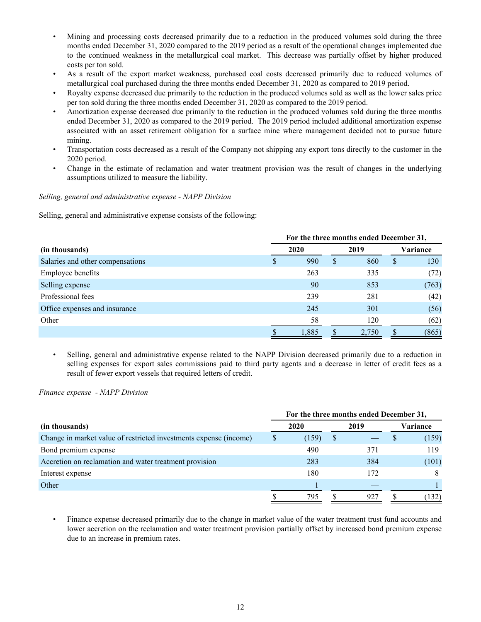- Mining and processing costs decreased primarily due to a reduction in the produced volumes sold during the three months ended December 31, 2020 compared to the 2019 period as a result of the operational changes implemented due to the continued weakness in the metallurgical coal market. This decrease was partially offset by higher produced costs per ton sold.
- As a result of the export market weakness, purchased coal costs decreased primarily due to reduced volumes of metallurgical coal purchased during the three months ended December 31, 2020 as compared to 2019 period.
- Royalty expense decreased due primarily to the reduction in the produced volumes sold as well as the lower sales price per ton sold during the three months ended December 31, 2020 as compared to the 2019 period.
- Amortization expense decreased due primarily to the reduction in the produced volumes sold during the three months ended December 31, 2020 as compared to the 2019 period. The 2019 period included additional amortization expense associated with an asset retirement obligation for a surface mine where management decided not to pursue future mining.
- Transportation costs decreased as a result of the Company not shipping any export tons directly to the customer in the 2020 period.
- Change in the estimate of reclamation and water treatment provision was the result of changes in the underlying assumptions utilized to measure the liability.

# *Selling, general and administrative expense - NAPP Division*

Selling, general and administrative expense consists of the following:

|                                  | For the three months ended December 31, |   |       |   |          |  |  |  |  |
|----------------------------------|-----------------------------------------|---|-------|---|----------|--|--|--|--|
| (in thousands)                   | 2020                                    |   | 2019  |   | Variance |  |  |  |  |
| Salaries and other compensations | 990                                     | S | 860   | S | 130      |  |  |  |  |
| Employee benefits                | 263                                     |   | 335   |   | (72)     |  |  |  |  |
| Selling expense                  | 90                                      |   | 853   |   | (763)    |  |  |  |  |
| Professional fees                | 239                                     |   | 281   |   | (42)     |  |  |  |  |
| Office expenses and insurance    | 245                                     |   | 301   |   | (56)     |  |  |  |  |
| Other                            | 58                                      |   | 120   |   | (62)     |  |  |  |  |
|                                  | 1,885                                   |   | 2,750 |   | (865)    |  |  |  |  |

• Selling, general and administrative expense related to the NAPP Division decreased primarily due to a reduction in selling expenses for export sales commissions paid to third party agents and a decrease in letter of credit fees as a result of fewer export vessels that required letters of credit.

# *Finance expense - NAPP Division*

|                                                                   | For the three months ended December 31, |       |   |      |          |       |  |  |  |  |
|-------------------------------------------------------------------|-----------------------------------------|-------|---|------|----------|-------|--|--|--|--|
| (in thousands)                                                    |                                         | 2020  |   | 2019 | Variance |       |  |  |  |  |
| Change in market value of restricted investments expense (income) | S                                       | (159) | S |      |          | (159) |  |  |  |  |
| Bond premium expense                                              |                                         | 490   |   | 371  |          | 119   |  |  |  |  |
| Accretion on reclamation and water treatment provision            |                                         | 283   |   | 384  |          | (101) |  |  |  |  |
| Interest expense                                                  |                                         | 180   |   | 172  |          |       |  |  |  |  |
| Other                                                             |                                         |       |   |      |          |       |  |  |  |  |
|                                                                   |                                         | 795   |   | 927  |          | (132) |  |  |  |  |

• Finance expense decreased primarily due to the change in market value of the water treatment trust fund accounts and lower accretion on the reclamation and water treatment provision partially offset by increased bond premium expense due to an increase in premium rates.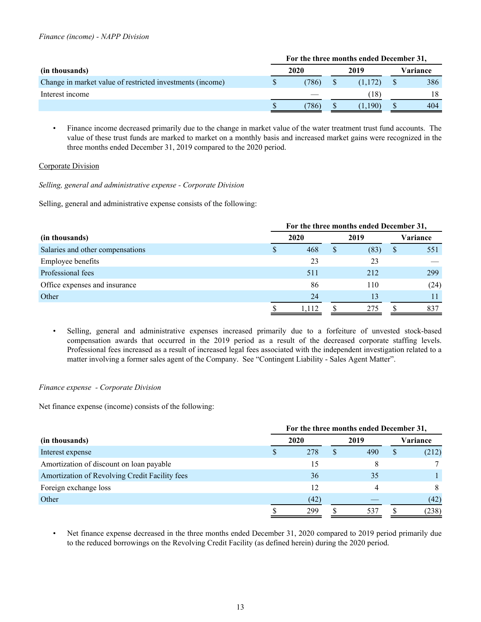|                                                           | For the three months ended December 31, |       |  |               |  |          |
|-----------------------------------------------------------|-----------------------------------------|-------|--|---------------|--|----------|
| (in thousands)                                            | 2020                                    |       |  | 2019          |  | Variance |
| Change in market value of restricted investments (income) |                                         | (786) |  | (1.172)       |  | 386      |
| Interest income                                           |                                         |       |  | (18)          |  | 18       |
|                                                           |                                         | 786)  |  | $190^{\circ}$ |  | 404      |

• Finance income decreased primarily due to the change in market value of the water treatment trust fund accounts. The value of these trust funds are marked to market on a monthly basis and increased market gains were recognized in the three months ended December 31, 2019 compared to the 2020 period.

# Corporate Division

*Selling, general and administrative expense - Corporate Division*

Selling, general and administrative expense consists of the following:

| (in thousands)                   |   | For the three months ended December 31, |   |      |              |          |  |  |  |
|----------------------------------|---|-----------------------------------------|---|------|--------------|----------|--|--|--|
|                                  |   | 2020                                    |   | 2019 |              | Variance |  |  |  |
| Salaries and other compensations | S | 468                                     | S | (83) | <sup>S</sup> | 551      |  |  |  |
| <b>Employee benefits</b>         |   | 23                                      |   | 23   |              |          |  |  |  |
| Professional fees                |   | 511                                     |   | 212  |              | 299      |  |  |  |
| Office expenses and insurance    |   | 86                                      |   | 110  |              | (24)     |  |  |  |
| Other                            |   | 24                                      |   | 13   |              |          |  |  |  |
|                                  |   | 1,112                                   |   | 275  |              | 837      |  |  |  |

• Selling, general and administrative expenses increased primarily due to a forfeiture of unvested stock-based compensation awards that occurred in the 2019 period as a result of the decreased corporate staffing levels. Professional fees increased as a result of increased legal fees associated with the independent investigation related to a matter involving a former sales agent of the Company. See "Contingent Liability - Sales Agent Matter".

# *Finance expense - Corporate Division*

Net finance expense (income) consists of the following:

|                                                | For the three months ended December 31, |      |   |      |    |          |  |  |
|------------------------------------------------|-----------------------------------------|------|---|------|----|----------|--|--|
| (in thousands)                                 |                                         | 2020 |   | 2019 |    | Variance |  |  |
| Interest expense                               | D                                       | 278  | S | 490  | \$ | (212)    |  |  |
| Amortization of discount on loan payable       |                                         | 15   |   |      |    |          |  |  |
| Amortization of Revolving Credit Facility fees |                                         | 36   |   | 35   |    |          |  |  |
| Foreign exchange loss                          |                                         | 12   |   | 4    |    |          |  |  |
| Other                                          |                                         | (42) |   |      |    | (42)     |  |  |
|                                                |                                         | 299  |   | 531  |    | (238)    |  |  |

Net finance expense decreased in the three months ended December 31, 2020 compared to 2019 period primarily due to the reduced borrowings on the Revolving Credit Facility (as defined herein) during the 2020 period.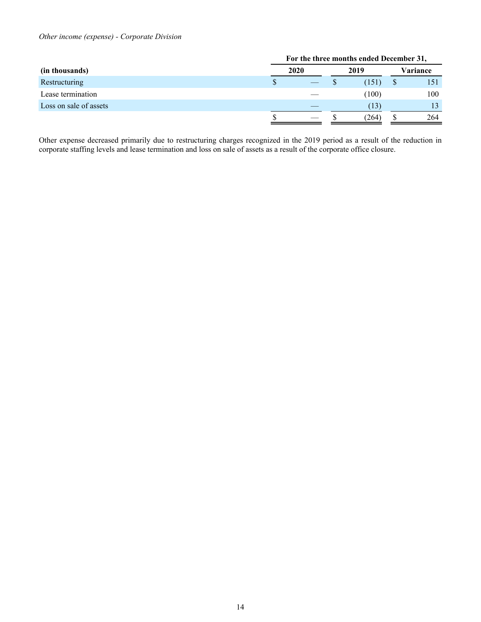# *Other income (expense) - Corporate Division*

|                        | For the three months ended December 31, |  |      |       |          |     |  |
|------------------------|-----------------------------------------|--|------|-------|----------|-----|--|
| (in thousands)         | 2020                                    |  | 2019 |       | Variance |     |  |
| Restructuring          | \$                                      |  |      | (151) |          | 151 |  |
| Lease termination      |                                         |  |      | (100) |          | 100 |  |
| Loss on sale of assets |                                         |  |      | (13)  |          | 13  |  |
|                        |                                         |  |      | (264) |          | 264 |  |

Other expense decreased primarily due to restructuring charges recognized in the 2019 period as a result of the reduction in corporate staffing levels and lease termination and loss on sale of assets as a result of the corporate office closure.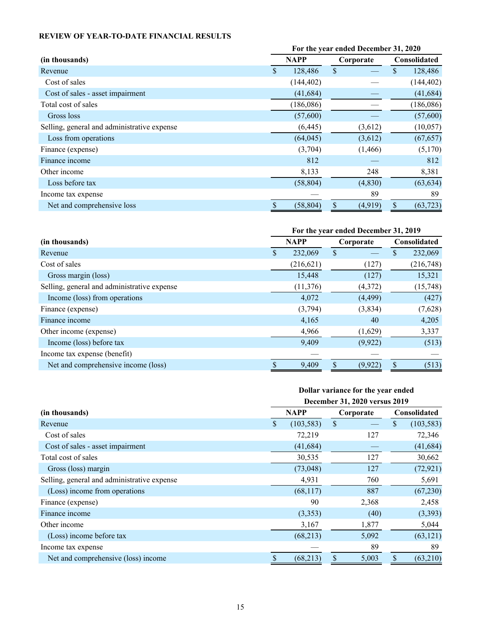# <span id="page-14-0"></span>**REVIEW OF YEAR-TO-DATE FINANCIAL RESULTS**

|                                             | For the year ended December 31, 2020 |             |                           |           |    |              |  |
|---------------------------------------------|--------------------------------------|-------------|---------------------------|-----------|----|--------------|--|
| (in thousands)                              |                                      | <b>NAPP</b> |                           | Corporate |    | Consolidated |  |
| Revenue                                     | \$                                   | 128,486     | $\boldsymbol{\mathsf{S}}$ |           | \$ | 128,486      |  |
| Cost of sales                               |                                      | (144, 402)  |                           |           |    | (144, 402)   |  |
| Cost of sales - asset impairment            |                                      | (41, 684)   |                           |           |    | (41, 684)    |  |
| Total cost of sales                         |                                      | (186,086)   |                           |           |    | (186,086)    |  |
| Gross loss                                  |                                      | (57,600)    |                           |           |    | (57,600)     |  |
| Selling, general and administrative expense |                                      | (6, 445)    |                           | (3,612)   |    | (10, 057)    |  |
| Loss from operations                        |                                      | (64, 045)   |                           | (3,612)   |    | (67, 657)    |  |
| Finance (expense)                           |                                      | (3,704)     |                           | (1,466)   |    | (5,170)      |  |
| Finance income                              |                                      | 812         |                           |           |    | 812          |  |
| Other income                                |                                      | 8,133       |                           | 248       |    | 8,381        |  |
| Loss before tax                             |                                      | (58, 804)   |                           | (4,830)   |    | (63, 634)    |  |
| Income tax expense                          |                                      |             |                           | 89        |    | 89           |  |
| Net and comprehensive loss                  |                                      | (58, 804)   |                           | (4,919)   | \$ | (63, 723)    |  |

|                                             | For the year ended December 31, 2019 |            |           |         |                     |           |
|---------------------------------------------|--------------------------------------|------------|-----------|---------|---------------------|-----------|
| (in thousands)                              | <b>NAPP</b>                          |            | Corporate |         | <b>Consolidated</b> |           |
| Revenue                                     | \$                                   | 232,069    | \$        |         | \$                  | 232,069   |
| Cost of sales                               |                                      | (216, 621) |           | (127)   |                     | (216,748) |
| Gross margin (loss)                         |                                      | 15,448     |           | (127)   |                     | 15,321    |
| Selling, general and administrative expense |                                      | (11, 376)  |           | (4,372) |                     | (15, 748) |
| Income (loss) from operations               |                                      | 4,072      |           | (4,499) |                     | (427)     |
| Finance (expense)                           |                                      | (3,794)    |           | (3,834) |                     | (7,628)   |
| Finance income                              |                                      | 4,165      |           | 40      |                     | 4,205     |
| Other income (expense)                      |                                      | 4,966      |           | (1,629) |                     | 3,337     |
| Income (loss) before tax                    |                                      | 9,409      |           | (9,922) |                     | (513)     |
| Income tax expense (benefit)                |                                      |            |           |         |                     |           |
| Net and comprehensive income (loss)         |                                      | 9,409      |           | (9,922) |                     | (513)     |

|                                             |    | Dollar variance for the year ended |               |                               |                     |            |  |  |  |
|---------------------------------------------|----|------------------------------------|---------------|-------------------------------|---------------------|------------|--|--|--|
|                                             |    |                                    |               | December 31, 2020 versus 2019 |                     |            |  |  |  |
| (in thousands)                              |    | <b>NAPP</b>                        |               | Corporate                     | <b>Consolidated</b> |            |  |  |  |
| Revenue                                     | \$ | (103, 583)                         | $\mathcal{S}$ |                               | S.                  | (103, 583) |  |  |  |
| Cost of sales                               |    | 72,219                             |               | 127                           |                     | 72,346     |  |  |  |
| Cost of sales - asset impairment            |    | (41, 684)                          |               |                               |                     | (41, 684)  |  |  |  |
| Total cost of sales                         |    | 30,535                             |               | 127                           |                     | 30,662     |  |  |  |
| Gross (loss) margin                         |    | (73,048)                           |               | 127                           |                     | (72, 921)  |  |  |  |
| Selling, general and administrative expense |    | 4,931                              |               | 760                           |                     | 5,691      |  |  |  |
| (Loss) income from operations               |    | (68, 117)                          |               | 887                           |                     | (67,230)   |  |  |  |
| Finance (expense)                           |    | 90                                 |               | 2,368                         |                     | 2,458      |  |  |  |
| Finance income                              |    | (3,353)                            |               | (40)                          |                     | (3,393)    |  |  |  |
| Other income                                |    | 3,167                              |               | 1,877                         |                     | 5,044      |  |  |  |
| (Loss) income before tax                    |    | (68,213)                           |               | 5,092                         |                     | (63, 121)  |  |  |  |
| Income tax expense                          |    |                                    |               | 89                            |                     | 89         |  |  |  |
| Net and comprehensive (loss) income         | \$ | (68, 213)                          | \$            | 5,003                         | \$                  | (63,210)   |  |  |  |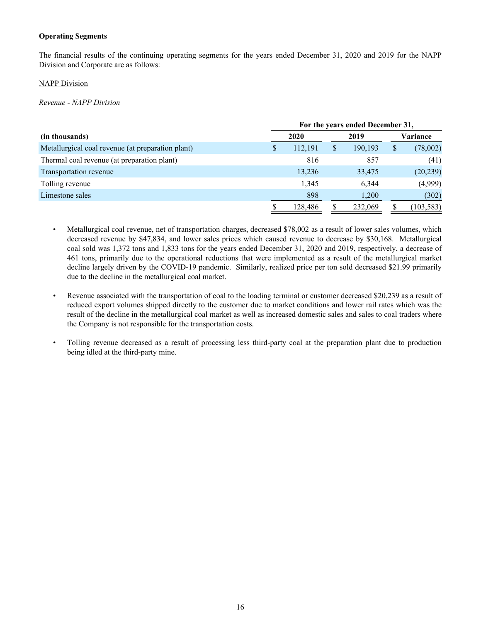# **Operating Segments**

The financial results of the continuing operating segments for the years ended December 31, 2020 and 2019 for the NAPP Division and Corporate are as follows:

### **NAPP Division**

*Revenue - NAPP Division*

|                                                   |   | For the years ended December 31, |   |         |    |            |  |  |  |
|---------------------------------------------------|---|----------------------------------|---|---------|----|------------|--|--|--|
| (in thousands)                                    |   | 2020                             |   | 2019    |    | Variance   |  |  |  |
| Metallurgical coal revenue (at preparation plant) | S | 112,191                          | S | 190,193 | \$ | (78,002)   |  |  |  |
| Thermal coal revenue (at preparation plant)       |   | 816                              |   | 857     |    | (41)       |  |  |  |
| Transportation revenue                            |   | 13,236                           |   | 33,475  |    | (20, 239)  |  |  |  |
| Tolling revenue                                   |   | 1,345                            |   | 6,344   |    | (4,999)    |  |  |  |
| Limestone sales                                   |   | 898                              |   | 1,200   |    | (302)      |  |  |  |
|                                                   |   | 128.486                          |   | 232,069 |    | (103, 583) |  |  |  |

- Metallurgical coal revenue, net of transportation charges, decreased \$78,002 as a result of lower sales volumes, which decreased revenue by \$47,834, and lower sales prices which caused revenue to decrease by \$30,168. Metallurgical coal sold was 1,372 tons and 1,833 tons for the years ended December 31, 2020 and 2019, respectively, a decrease of 461 tons, primarily due to the operational reductions that were implemented as a result of the metallurgical market decline largely driven by the COVID-19 pandemic. Similarly, realized price per ton sold decreased \$21.99 primarily due to the decline in the metallurgical coal market.
- Revenue associated with the transportation of coal to the loading terminal or customer decreased \$20,239 as a result of reduced export volumes shipped directly to the customer due to market conditions and lower rail rates which was the result of the decline in the metallurgical coal market as well as increased domestic sales and sales to coal traders where the Company is not responsible for the transportation costs.
- Tolling revenue decreased as a result of processing less third-party coal at the preparation plant due to production being idled at the third-party mine.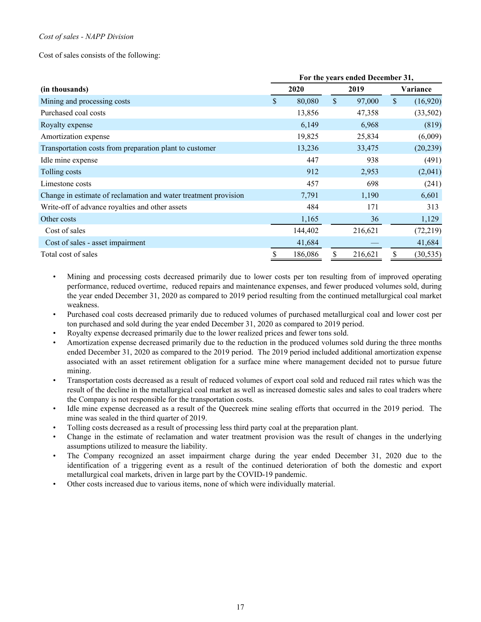# *Cost of sales - NAPP Division*

Cost of sales consists of the following:

|                                                                 | For the years ended December 31, |         |      |         |              |           |  |
|-----------------------------------------------------------------|----------------------------------|---------|------|---------|--------------|-----------|--|
| (in thousands)                                                  | 2020                             |         | 2019 |         | Variance     |           |  |
| Mining and processing costs                                     | \$                               | 80,080  | \$   | 97,000  | $\mathbb{S}$ | (16,920)  |  |
| Purchased coal costs                                            |                                  | 13,856  |      | 47,358  |              | (33,502)  |  |
| Royalty expense                                                 |                                  | 6,149   |      | 6,968   |              | (819)     |  |
| Amortization expense                                            |                                  | 19,825  |      | 25,834  |              | (6,009)   |  |
| Transportation costs from preparation plant to customer         |                                  | 13,236  |      | 33,475  |              | (20, 239) |  |
| Idle mine expense                                               |                                  | 447     |      | 938     |              | (491)     |  |
| Tolling costs                                                   |                                  | 912     |      | 2,953   |              | (2,041)   |  |
| Limestone costs                                                 |                                  | 457     |      | 698     |              | (241)     |  |
| Change in estimate of reclamation and water treatment provision |                                  | 7,791   |      | 1,190   |              | 6,601     |  |
| Write-off of advance royalties and other assets                 |                                  | 484     |      | 171     |              | 313       |  |
| Other costs                                                     |                                  | 1,165   |      | 36      |              | 1,129     |  |
| Cost of sales                                                   |                                  | 144,402 |      | 216,621 |              | (72, 219) |  |
| Cost of sales - asset impairment                                |                                  | 41,684  |      |         |              | 41,684    |  |
| Total cost of sales                                             | \$                               | 186,086 | \$   | 216,621 | \$           | (30, 535) |  |

- Mining and processing costs decreased primarily due to lower costs per ton resulting from of improved operating performance, reduced overtime, reduced repairs and maintenance expenses, and fewer produced volumes sold, during the year ended December 31, 2020 as compared to 2019 period resulting from the continued metallurgical coal market weakness.
- Purchased coal costs decreased primarily due to reduced volumes of purchased metallurgical coal and lower cost per ton purchased and sold during the year ended December 31, 2020 as compared to 2019 period.
- Royalty expense decreased primarily due to the lower realized prices and fewer tons sold.
- Amortization expense decreased primarily due to the reduction in the produced volumes sold during the three months ended December 31, 2020 as compared to the 2019 period. The 2019 period included additional amortization expense associated with an asset retirement obligation for a surface mine where management decided not to pursue future mining.
- Transportation costs decreased as a result of reduced volumes of export coal sold and reduced rail rates which was the result of the decline in the metallurgical coal market as well as increased domestic sales and sales to coal traders where the Company is not responsible for the transportation costs.
- Idle mine expense decreased as a result of the Quecreek mine sealing efforts that occurred in the 2019 period. The mine was sealed in the third quarter of 2019.
- Tolling costs decreased as a result of processing less third party coal at the preparation plant.
- Change in the estimate of reclamation and water treatment provision was the result of changes in the underlying assumptions utilized to measure the liability.
- The Company recognized an asset impairment charge during the year ended December 31, 2020 due to the identification of a triggering event as a result of the continued deterioration of both the domestic and export metallurgical coal markets, driven in large part by the COVID-19 pandemic.
- Other costs increased due to various items, none of which were individually material.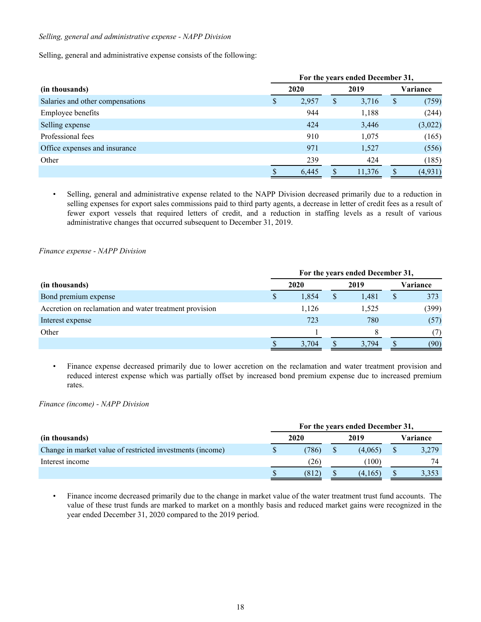# *Selling, general and administrative expense - NAPP Division*

Selling, general and administrative expense consists of the following:

|                                  |   | For the years ended December 31, |   |        |    |          |  |  |
|----------------------------------|---|----------------------------------|---|--------|----|----------|--|--|
| (in thousands)                   |   | 2020                             |   | 2019   |    | Variance |  |  |
| Salaries and other compensations | D | 2,957                            | S | 3,716  | \$ | (759)    |  |  |
| Employee benefits                |   | 944                              |   | 1,188  |    | (244)    |  |  |
| Selling expense                  |   | 424                              |   | 3,446  |    | (3,022)  |  |  |
| Professional fees                |   | 910                              |   | 1,075  |    | (165)    |  |  |
| Office expenses and insurance    |   | 971                              |   | 1,527  |    | (556)    |  |  |
| Other                            |   | 239                              |   | 424    |    | (185)    |  |  |
|                                  |   | 6,445                            |   | 11,376 |    | (4, 931) |  |  |

• Selling, general and administrative expense related to the NAPP Division decreased primarily due to a reduction in selling expenses for export sales commissions paid to third party agents, a decrease in letter of credit fees as a result of fewer export vessels that required letters of credit, and a reduction in staffing levels as a result of various administrative changes that occurred subsequent to December 31, 2019.

*Finance expense - NAPP Division*

|                                                        | For the years ended December 31, |       |      |       |          |       |  |
|--------------------------------------------------------|----------------------------------|-------|------|-------|----------|-------|--|
| (in thousands)                                         | 2020                             |       | 2019 |       | Variance |       |  |
| Bond premium expense                                   |                                  | 1,854 |      | 1.481 | \$       | 373   |  |
| Accretion on reclamation and water treatment provision |                                  | 1,126 |      | 1,525 |          | (399) |  |
| Interest expense                                       |                                  | 723   |      | 780   |          | (57)  |  |
| Other                                                  |                                  |       |      | 8     |          | (7)   |  |
|                                                        |                                  | 3,704 |      | 3,794 |          | (90)  |  |

• Finance expense decreased primarily due to lower accretion on the reclamation and water treatment provision and reduced interest expense which was partially offset by increased bond premium expense due to increased premium rates.

*Finance (income) - NAPP Division*

|                                                           | For the years ended December 31, |       |      |         |          |       |  |  |
|-----------------------------------------------------------|----------------------------------|-------|------|---------|----------|-------|--|--|
| (in thousands)                                            |                                  | 2020  | 2019 |         | Variance |       |  |  |
| Change in market value of restricted investments (income) |                                  | (786) |      | (4.065) |          | 3,279 |  |  |
| Interest income                                           |                                  | (26)  |      | (100)   |          | 74    |  |  |
|                                                           |                                  | (812) |      | (4,165) |          | 3.353 |  |  |

• Finance income decreased primarily due to the change in market value of the water treatment trust fund accounts. The value of these trust funds are marked to market on a monthly basis and reduced market gains were recognized in the year ended December 31, 2020 compared to the 2019 period.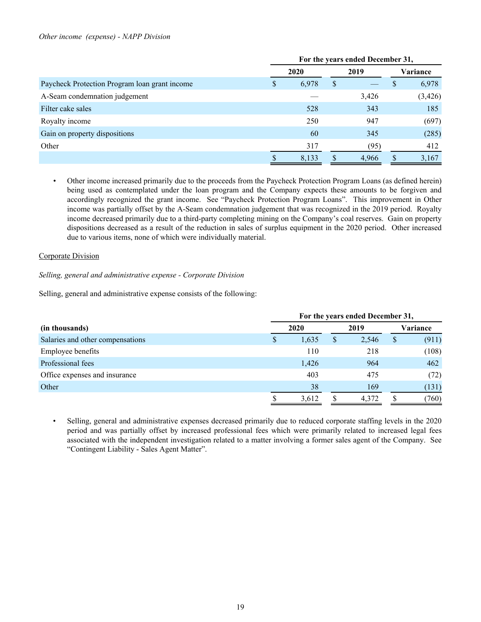#### *Other income (expense) - NAPP Division*

|                                               | For the years ended December 31, |       |   |       |          |          |  |  |  |
|-----------------------------------------------|----------------------------------|-------|---|-------|----------|----------|--|--|--|
|                                               |                                  | 2020  |   | 2019  | Variance |          |  |  |  |
| Paycheck Protection Program loan grant income | S                                | 6,978 | S |       | P        | 6,978    |  |  |  |
| A-Seam condemnation judgement                 |                                  |       |   | 3,426 |          | (3, 426) |  |  |  |
| Filter cake sales                             |                                  | 528   |   | 343   |          | 185      |  |  |  |
| Royalty income                                |                                  | 250   |   | 947   |          | (697)    |  |  |  |
| Gain on property dispositions                 |                                  | 60    |   | 345   |          | (285)    |  |  |  |
| Other                                         |                                  | 317   |   | (95)  |          | 412      |  |  |  |
|                                               |                                  | 8,133 |   | 4,966 |          | 3,167    |  |  |  |

*•* Other income increased primarily due to the proceeds from the Paycheck Protection Program Loans (as defined herein) being used as contemplated under the loan program and the Company expects these amounts to be forgiven and accordingly recognized the grant income. See "Paycheck Protection Program Loans". This improvement in Other income was partially offset by the A-Seam condemnation judgement that was recognized in the 2019 period. Royalty income decreased primarily due to a third-party completing mining on the Company's coal reserves. Gain on property dispositions decreased as a result of the reduction in sales of surplus equipment in the 2020 period. Other increased due to various items, none of which were individually material.

### Corporate Division

#### *Selling, general and administrative expense - Corporate Division*

Selling, general and administrative expense consists of the following:

|                                  | For the years ended December 31, |       |   |       |    |          |  |  |  |  |  |  |
|----------------------------------|----------------------------------|-------|---|-------|----|----------|--|--|--|--|--|--|
| (in thousands)                   |                                  | 2020  |   | 2019  |    | Variance |  |  |  |  |  |  |
| Salaries and other compensations | S                                | 1,635 | S | 2,546 | \$ | (911)    |  |  |  |  |  |  |
| <b>Employee benefits</b>         |                                  | 110   |   | 218   |    | (108)    |  |  |  |  |  |  |
| Professional fees                |                                  | 1,426 |   | 964   |    | 462      |  |  |  |  |  |  |
| Office expenses and insurance    |                                  | 403   |   | 475   |    | (72)     |  |  |  |  |  |  |
| Other                            |                                  | 38    |   | 169   |    | (131)    |  |  |  |  |  |  |
|                                  |                                  | 3,612 |   | 4,372 |    | (760)    |  |  |  |  |  |  |

• Selling, general and administrative expenses decreased primarily due to reduced corporate staffing levels in the 2020 period and was partially offset by increased professional fees which were primarily related to increased legal fees associated with the independent investigation related to a matter involving a former sales agent of the Company. See "Contingent Liability - Sales Agent Matter".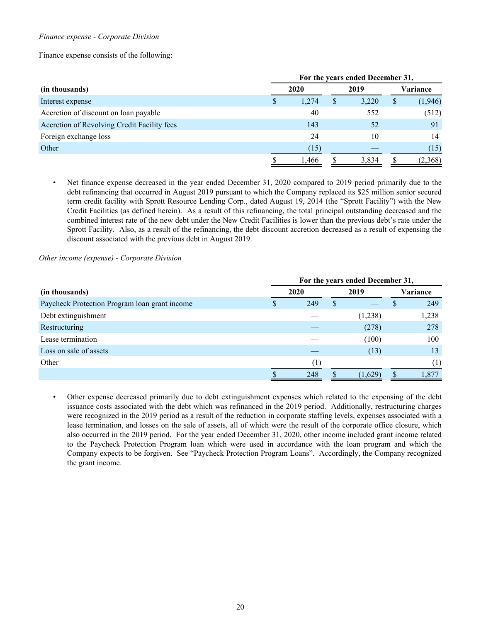### *Finance expense - Corporate Division*

Finance expense consists of the following:

|                                             | For the years ended December 31, |       |   |       |          |          |  |  |  |  |  |  |  |
|---------------------------------------------|----------------------------------|-------|---|-------|----------|----------|--|--|--|--|--|--|--|
| (in thousands)                              |                                  | 2020  |   |       | Variance |          |  |  |  |  |  |  |  |
| Interest expense                            | S                                | 1,274 | S | 3,220 | \$       | (1, 946) |  |  |  |  |  |  |  |
| Accretion of discount on loan payable       |                                  | 40    |   | 552   |          | (512)    |  |  |  |  |  |  |  |
| Accretion of Revolving Credit Facility fees |                                  | 143   |   | 52    |          | 91       |  |  |  |  |  |  |  |
| Foreign exchange loss                       |                                  | 24    |   | 10    |          | 14       |  |  |  |  |  |  |  |
| Other                                       |                                  | (15)  |   |       |          | (15)     |  |  |  |  |  |  |  |
|                                             |                                  | 1,466 |   | 3.834 | S        | (2,368)  |  |  |  |  |  |  |  |

Net finance expense decreased in the year ended December 31, 2020 compared to 2019 period primarily due to the debt refinancing that occurred in August 2019 pursuant to which the Company replaced its \$25 million senior secured term credit facility with Sprott Resource Lending Corp., dated August 19, 2014 (the "Sprott Facility") with the New Credit Facilities (as defined herein). As a result of this refinancing, the total principal outstanding decreased and the combined interest rate of the new debt under the New Credit Facilities is lower than the previous debt's rate under the Sprott Facility. Also, as a result of the refinancing, the debt discount accretion decreased as a result of expensing the discount associated with the previous debt in August 2019.

#### *Other income (expense) - Corporate Division*

|                                               | For the years ended December 31, |      |          |         |  |       |  |  |  |  |  |  |
|-----------------------------------------------|----------------------------------|------|----------|---------|--|-------|--|--|--|--|--|--|
| (in thousands)                                |                                  | 2020 | Variance |         |  |       |  |  |  |  |  |  |
| Paycheck Protection Program loan grant income |                                  | 249  | S        |         |  | 249   |  |  |  |  |  |  |
| Debt extinguishment                           |                                  |      |          | (1,238) |  | 1,238 |  |  |  |  |  |  |
| Restructuring                                 |                                  |      |          | (278)   |  | 278   |  |  |  |  |  |  |
| Lease termination                             |                                  |      |          | (100)   |  | 100   |  |  |  |  |  |  |
| Loss on sale of assets                        |                                  |      |          | (13)    |  | 13    |  |  |  |  |  |  |
| Other                                         |                                  |      |          |         |  | (1)   |  |  |  |  |  |  |
|                                               |                                  | 248  |          | (1,629) |  | 1,877 |  |  |  |  |  |  |

• Other expense decreased primarily due to debt extinguishment expenses which related to the expensing of the debt issuance costs associated with the debt which was refinanced in the 2019 period. Additionally, restructuring charges were recognized in the 2019 period as a result of the reduction in corporate staffing levels, expenses associated with a lease termination, and losses on the sale of assets, all of which were the result of the corporate office closure, which also occurred in the 2019 period. For the year ended December 31, 2020, other income included grant income related to the Paycheck Protection Program loan which were used in accordance with the loan program and which the Company expects to be forgiven. See "Paycheck Protection Program Loans". Accordingly, the Company recognized the grant income.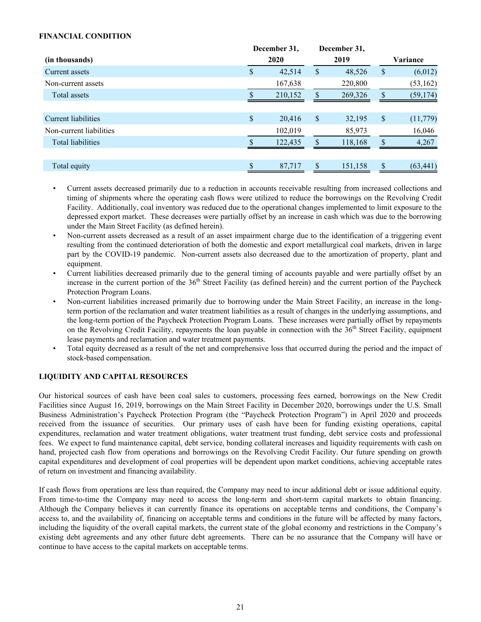# <span id="page-20-0"></span>**FINANCIAL CONDITION**

|                          | December 31, |         |                           | December 31, |                 |
|--------------------------|--------------|---------|---------------------------|--------------|-----------------|
| (in thousands)           |              | 2020    |                           | 2019         | Variance        |
| Current assets           | \$           | 42,514  | \$                        | 48,526       | \$<br>(6,012)   |
| Non-current assets       |              | 167,638 |                           | 220,800      | (53, 162)       |
| Total assets             |              | 210,152 |                           | 269,326      | \$<br>(59, 174) |
|                          |              |         |                           |              |                 |
| Current liabilities      | $\$$         | 20,416  | $\boldsymbol{\mathsf{S}}$ | 32,195       | \$<br>(11, 779) |
| Non-current liabilities  |              | 102,019 |                           | 85,973       | 16,046          |
| <b>Total liabilities</b> |              | 122,435 | $\mathbf{\$}$             | 118,168      | \$<br>4,267     |
|                          |              |         |                           |              |                 |
| Total equity             |              | 87,717  | <b>S</b>                  | 151,158      | \$<br>(63, 441) |

- Current assets decreased primarily due to a reduction in accounts receivable resulting from increased collections and timing of shipments where the operating cash flows were utilized to reduce the borrowings on the Revolving Credit Facility. Additionally, coal inventory was reduced due to the operational changes implemented to limit exposure to the depressed export market. These decreases were partially offset by an increase in cash which was due to the borrowing under the Main Street Facility (as defined herein).
- Non-current assets decreased as a result of an asset impairment charge due to the identification of a triggering event resulting from the continued deterioration of both the domestic and export metallurgical coal markets, driven in large part by the COVID-19 pandemic. Non-current assets also decreased due to the amortization of property, plant and equipment.
- Current liabilities decreased primarily due to the general timing of accounts payable and were partially offset by an increase in the current portion of the 36<sup>th</sup> Street Facility (as defined herein) and the current portion of the Paycheck Protection Program Loans.
- Non-current liabilities increased primarily due to borrowing under the Main Street Facility, an increase in the longterm portion of the reclamation and water treatment liabilities as a result of changes in the underlying assumptions, and the long-term portion of the Paycheck Protection Program Loans. These increases were partially offset by repayments on the Revolving Credit Facility, repayments the loan payable in connection with the 36<sup>th</sup> Street Facility, equipment lease payments and reclamation and water treatment payments.
- Total equity decreased as a result of the net and comprehensive loss that occurred during the period and the impact of stock-based compensation.

# **LIQUIDITY AND CAPITAL RESOURCES**

Our historical sources of cash have been coal sales to customers, processing fees earned, borrowings on the New Credit Facilities since August 16, 2019, borrowings on the Main Street Facility in December 2020, borrowings under the U.S. Small Business Administration's Paycheck Protection Program (the "Paycheck Protection Program") in April 2020 and proceeds received from the issuance of securities. Our primary uses of cash have been for funding existing operations, capital expenditures, reclamation and water treatment obligations, water treatment trust funding, debt service costs and professional fees. We expect to fund maintenance capital, debt service, bonding collateral increases and liquidity requirements with cash on hand, projected cash flow from operations and borrowings on the Revolving Credit Facility. Our future spending on growth capital expenditures and development of coal properties will be dependent upon market conditions, achieving acceptable rates of return on investment and financing availability.

If cash flows from operations are less than required, the Company may need to incur additional debt or issue additional equity. From time-to-time the Company may need to access the long-term and short-term capital markets to obtain financing. Although the Company believes it can currently finance its operations on acceptable terms and conditions, the Company's access to, and the availability of, financing on acceptable terms and conditions in the future will be affected by many factors, including the liquidity of the overall capital markets, the current state of the global economy and restrictions in the Company's existing debt agreements and any other future debt agreements. There can be no assurance that the Company will have or continue to have access to the capital markets on acceptable terms.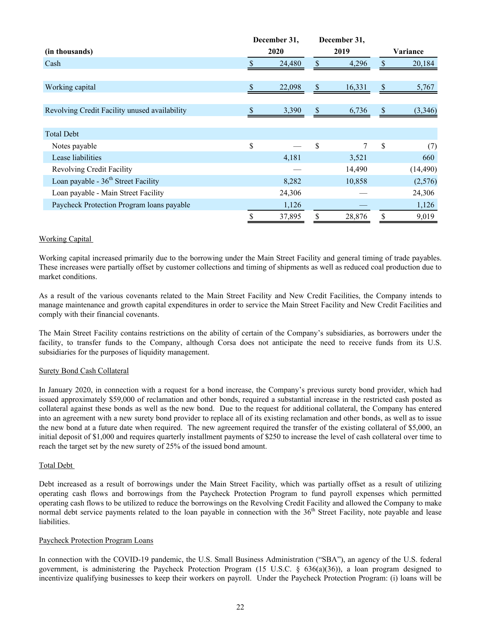|                                               | December 31, |    | December 31, |    |           |
|-----------------------------------------------|--------------|----|--------------|----|-----------|
| (in thousands)                                | 2020         |    | 2019         |    | Variance  |
| Cash                                          | 24,480       |    | \$<br>4,296  |    | 20,184    |
|                                               |              |    |              |    |           |
| Working capital                               | 22,098       | \$ | 16,331       | \$ | 5,767     |
|                                               |              |    |              |    |           |
| Revolving Credit Facility unused availability | 3,390        | \$ | 6,736        | \$ | (3, 346)  |
|                                               |              |    |              |    |           |
| <b>Total Debt</b>                             |              |    |              |    |           |
| Notes payable                                 | \$           | \$ | 7            | \$ | (7)       |
| Lease liabilities                             | 4,181        |    | 3,521        |    | 660       |
| <b>Revolving Credit Facility</b>              |              |    | 14,490       |    | (14, 490) |
| Loan payable - $36th$ Street Facility         | 8,282        |    | 10,858       |    | (2,576)   |
| Loan payable - Main Street Facility           | 24,306       |    |              |    | 24,306    |
| Paycheck Protection Program loans payable     | 1,126        |    |              |    | 1,126     |
|                                               | \$<br>37,895 | \$ | 28,876       | \$ | 9,019     |

# Working Capital

Working capital increased primarily due to the borrowing under the Main Street Facility and general timing of trade payables. These increases were partially offset by customer collections and timing of shipments as well as reduced coal production due to market conditions.

As a result of the various covenants related to the Main Street Facility and New Credit Facilities, the Company intends to manage maintenance and growth capital expenditures in order to service the Main Street Facility and New Credit Facilities and comply with their financial covenants.

The Main Street Facility contains restrictions on the ability of certain of the Company's subsidiaries, as borrowers under the facility, to transfer funds to the Company, although Corsa does not anticipate the need to receive funds from its U.S. subsidiaries for the purposes of liquidity management.

# Surety Bond Cash Collateral

In January 2020, in connection with a request for a bond increase, the Company's previous surety bond provider, which had issued approximately \$59,000 of reclamation and other bonds, required a substantial increase in the restricted cash posted as collateral against these bonds as well as the new bond. Due to the request for additional collateral, the Company has entered into an agreement with a new surety bond provider to replace all of its existing reclamation and other bonds, as well as to issue the new bond at a future date when required. The new agreement required the transfer of the existing collateral of \$5,000, an initial deposit of \$1,000 and requires quarterly installment payments of \$250 to increase the level of cash collateral over time to reach the target set by the new surety of 25% of the issued bond amount.

# Total Debt

Debt increased as a result of borrowings under the Main Street Facility, which was partially offset as a result of utilizing operating cash flows and borrowings from the Paycheck Protection Program to fund payroll expenses which permitted operating cash flows to be utilized to reduce the borrowings on the Revolving Credit Facility and allowed the Company to make normal debt service payments related to the loan payable in connection with the 36<sup>th</sup> Street Facility, note payable and lease liabilities.

# Paycheck Protection Program Loans

In connection with the COVID-19 pandemic, the U.S. Small Business Administration ("SBA"), an agency of the U.S. federal government, is administering the Paycheck Protection Program (15 U.S.C. § 636(a)(36)), a loan program designed to incentivize qualifying businesses to keep their workers on payroll. Under the Paycheck Protection Program: (i) loans will be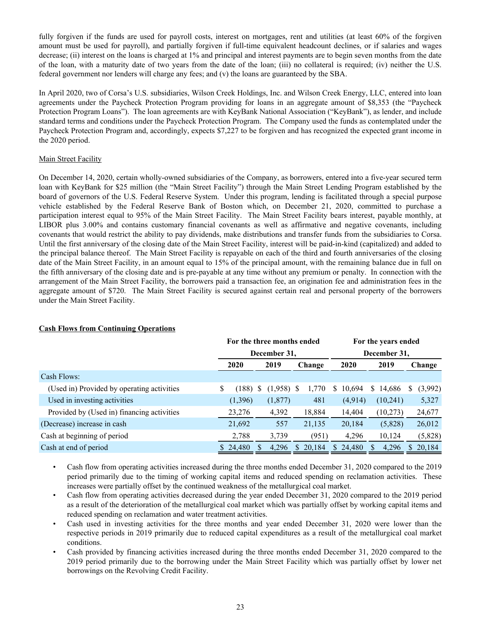fully forgiven if the funds are used for payroll costs, interest on mortgages, rent and utilities (at least 60% of the forgiven amount must be used for payroll), and partially forgiven if full-time equivalent headcount declines, or if salaries and wages decrease; (ii) interest on the loans is charged at 1% and principal and interest payments are to begin seven months from the date of the loan, with a maturity date of two years from the date of the loan; (iii) no collateral is required; (iv) neither the U.S. federal government nor lenders will charge any fees; and (v) the loans are guaranteed by the SBA.

In April 2020, two of Corsa's U.S. subsidiaries, Wilson Creek Holdings, Inc. and Wilson Creek Energy, LLC, entered into loan agreements under the Paycheck Protection Program providing for loans in an aggregate amount of \$8,353 (the "Paycheck Protection Program Loans"). The loan agreements are with KeyBank National Association ("KeyBank"), as lender, and include standard terms and conditions under the Paycheck Protection Program. The Company used the funds as contemplated under the Paycheck Protection Program and, accordingly, expects \$7,227 to be forgiven and has recognized the expected grant income in the 2020 period.

# **Main Street Facility**

On December 14, 2020, certain wholly-owned subsidiaries of the Company, as borrowers, entered into a five-year secured term loan with KeyBank for \$25 million (the "Main Street Facility") through the Main Street Lending Program established by the board of governors of the U.S. Federal Reserve System. Under this program, lending is facilitated through a special purpose vehicle established by the Federal Reserve Bank of Boston which, on December 21, 2020, committed to purchase a participation interest equal to 95% of the Main Street Facility. The Main Street Facility bears interest, payable monthly, at LIBOR plus 3.00% and contains customary financial covenants as well as affirmative and negative covenants, including covenants that would restrict the ability to pay dividends, make distributions and transfer funds from the subsidiaries to Corsa. Until the first anniversary of the closing date of the Main Street Facility, interest will be paid-in-kind (capitalized) and added to the principal balance thereof. The Main Street Facility is repayable on each of the third and fourth anniversaries of the closing date of the Main Street Facility, in an amount equal to 15% of the principal amount, with the remaining balance due in full on the fifth anniversary of the closing date and is pre-payable at any time without any premium or penalty. In connection with the arrangement of the Main Street Facility, the borrowers paid a transaction fee, an origination fee and administration fees in the aggregate amount of \$720. The Main Street Facility is secured against certain real and personal property of the borrowers under the Main Street Facility.

|                                            |      |          | For the three months ended |              | For the years ended |        |              |          |      |           |    |         |  |  |
|--------------------------------------------|------|----------|----------------------------|--------------|---------------------|--------|--------------|----------|------|-----------|----|---------|--|--|
|                                            |      |          | December 31,               |              |                     |        | December 31, |          |      |           |    |         |  |  |
|                                            | 2020 |          | 2019                       |              | Change              |        | 2020         |          | 2019 |           |    | Change  |  |  |
| Cash Flows:                                |      |          |                            |              |                     |        |              |          |      |           |    |         |  |  |
| (Used in) Provided by operating activities | \$   | (188)    |                            | $(1,958)$ \$ |                     | 1,770  | S.           | 10,694   | S.   | 14,686    | S  | (3,992) |  |  |
| Used in investing activities               |      | (1,396)  |                            | (1,877)      |                     | 481    |              | (4,914)  |      | (10, 241) |    | 5,327   |  |  |
| Provided by (Used in) financing activities |      | 23,276   |                            | 4,392        |                     | 18,884 |              | 14,404   |      | (10,273)  |    | 24,677  |  |  |
| (Decrease) increase in cash                |      | 21,692   |                            | 557          |                     | 21,135 |              | 20,184   |      | (5,828)   |    | 26,012  |  |  |
| Cash at beginning of period                |      | 2,788    |                            | 3,739        |                     | (951)  |              | 4,296    |      | 10,124    |    | (5,828) |  |  |
| Cash at end of period                      |      | \$24,480 |                            | 4,296        |                     | 20,184 |              | \$24,480 |      | 4,296     | S. | 20,184  |  |  |

# **Cash Flows from Continuing Operations**

• Cash flow from operating activities increased during the three months ended December 31, 2020 compared to the 2019 period primarily due to the timing of working capital items and reduced spending on reclamation activities. These increases were partially offset by the continued weakness of the metallurgical coal market.

• Cash flow from operating activities decreased during the year ended December 31, 2020 compared to the 2019 period as a result of the deterioration of the metallurgical coal market which was partially offset by working capital items and reduced spending on reclamation and water treatment activities.

- Cash used in investing activities for the three months and year ended December 31, 2020 were lower than the respective periods in 2019 primarily due to reduced capital expenditures as a result of the metallurgical coal market conditions.
- Cash provided by financing activities increased during the three months ended December 31, 2020 compared to the 2019 period primarily due to the borrowing under the Main Street Facility which was partially offset by lower net borrowings on the Revolving Credit Facility.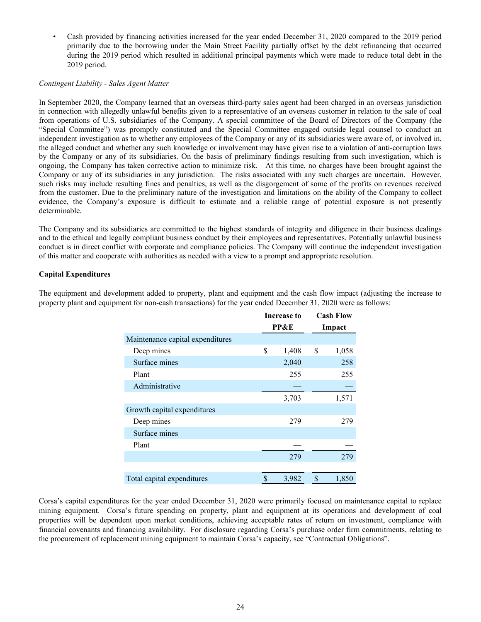• Cash provided by financing activities increased for the year ended December 31, 2020 compared to the 2019 period primarily due to the borrowing under the Main Street Facility partially offset by the debt refinancing that occurred during the 2019 period which resulted in additional principal payments which were made to reduce total debt in the 2019 period.

#### *Contingent Liability - Sales Agent Matter*

In September 2020, the Company learned that an overseas third-party sales agent had been charged in an overseas jurisdiction in connection with allegedly unlawful benefits given to a representative of an overseas customer in relation to the sale of coal from operations of U.S. subsidiaries of the Company. A special committee of the Board of Directors of the Company (the "Special Committee") was promptly constituted and the Special Committee engaged outside legal counsel to conduct an independent investigation as to whether any employees of the Company or any of its subsidiaries were aware of, or involved in, the alleged conduct and whether any such knowledge or involvement may have given rise to a violation of anti-corruption laws by the Company or any of its subsidiaries. On the basis of preliminary findings resulting from such investigation, which is ongoing, the Company has taken corrective action to minimize risk. At this time, no charges have been brought against the Company or any of its subsidiaries in any jurisdiction. The risks associated with any such charges are uncertain. However, such risks may include resulting fines and penalties, as well as the disgorgement of some of the profits on revenues received from the customer. Due to the preliminary nature of the investigation and limitations on the ability of the Company to collect evidence, the Company's exposure is difficult to estimate and a reliable range of potential exposure is not presently determinable.

The Company and its subsidiaries are committed to the highest standards of integrity and diligence in their business dealings and to the ethical and legally compliant business conduct by their employees and representatives. Potentially unlawful business conduct is in direct conflict with corporate and compliance policies. The Company will continue the independent investigation of this matter and cooperate with authorities as needed with a view to a prompt and appropriate resolution.

# **Capital Expenditures**

|                                  | <b>Increase to</b> | <b>Cash Flow</b> |
|----------------------------------|--------------------|------------------|
|                                  | <b>PP&amp;E</b>    | Impact           |
| Maintenance capital expenditures |                    |                  |
| Deep mines                       | \$<br>1,408        | \$<br>1,058      |
| Surface mines                    | 2,040              | 258              |
| Plant                            | 255                | 255              |
| Administrative                   |                    |                  |
|                                  | 3,703              | 1,571            |
| Growth capital expenditures      |                    |                  |
| Deep mines                       | 279                | 279              |
| Surface mines                    |                    |                  |
| Plant                            |                    |                  |
|                                  | 279                | 279              |
|                                  |                    |                  |
| Total capital expenditures       | \$<br>3,982        | \$<br>1,850      |

The equipment and development added to property, plant and equipment and the cash flow impact (adjusting the increase to property plant and equipment for non-cash transactions) for the year ended December 31, 2020 were as follows:

Corsa's capital expenditures for the year ended December 31, 2020 were primarily focused on maintenance capital to replace mining equipment. Corsa's future spending on property, plant and equipment at its operations and development of coal properties will be dependent upon market conditions, achieving acceptable rates of return on investment, compliance with financial covenants and financing availability. For disclosure regarding Corsa's purchase order firm commitments, relating to the procurement of replacement mining equipment to maintain Corsa's capacity, see "Contractual Obligations".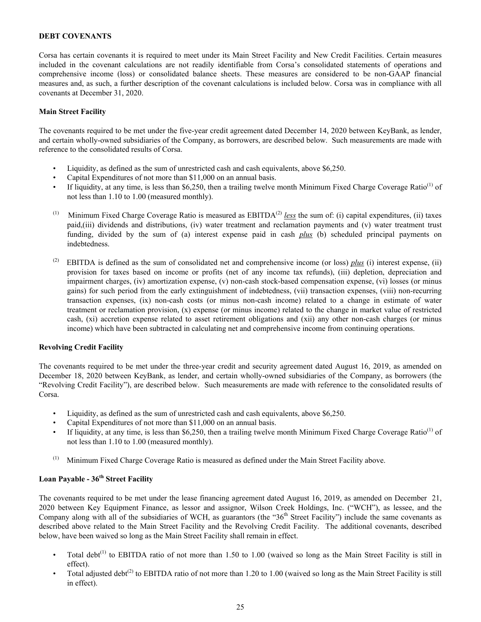### <span id="page-24-0"></span>**DEBT COVENANTS**

Corsa has certain covenants it is required to meet under its Main Street Facility and New Credit Facilities. Certain measures included in the covenant calculations are not readily identifiable from Corsa's consolidated statements of operations and comprehensive income (loss) or consolidated balance sheets. These measures are considered to be non-GAAP financial measures and, as such, a further description of the covenant calculations is included below. Corsa was in compliance with all covenants at December 31, 2020.

#### **Main Street Facility**

The covenants required to be met under the five-year credit agreement dated December 14, 2020 between KeyBank, as lender, and certain wholly-owned subsidiaries of the Company, as borrowers, are described below. Such measurements are made with reference to the consolidated results of Corsa.

- Liquidity, as defined as the sum of unrestricted cash and cash equivalents, above \$6,250.
- Capital Expenditures of not more than \$11,000 on an annual basis.
- If liquidity, at any time, is less than \$6,250, then a trailing twelve month Minimum Fixed Charge Coverage Ratio<sup>(1)</sup> of not less than 1.10 to 1.00 (measured monthly).
- (1) Minimum Fixed Charge Coverage Ratio is measured as  $EBITDA<sup>(2)</sup>$  *less* the sum of: (i) capital expenditures, (ii) taxes paid,(iii) dividends and distributions, (iv) water treatment and reclamation payments and (v) water treatment trust funding, divided by the sum of (a) interest expense paid in cash *plus* (b) scheduled principal payments on indebtedness.
- (2) EBITDA is defined as the sum of consolidated net and comprehensive income (or loss)  $plus$  (i) interest expense, (ii) provision for taxes based on income or profits (net of any income tax refunds), (iii) depletion, depreciation and impairment charges, (iv) amortization expense, (v) non-cash stock-based compensation expense, (vi) losses (or minus gains) for such period from the early extinguishment of indebtedness, (vii) transaction expenses, (viii) non-recurring transaction expenses, (ix) non-cash costs (or minus non-cash income) related to a change in estimate of water treatment or reclamation provision, (x) expense (or minus income) related to the change in market value of restricted cash, (xi) accretion expense related to asset retirement obligations and (xii) any other non-cash charges (or minus income) which have been subtracted in calculating net and comprehensive income from continuing operations.

#### **Revolving Credit Facility**

The covenants required to be met under the three-year credit and security agreement dated August 16, 2019, as amended on December 18, 2020 between KeyBank, as lender, and certain wholly-owned subsidiaries of the Company, as borrowers (the "Revolving Credit Facility"), are described below. Such measurements are made with reference to the consolidated results of Corsa.

- Liquidity, as defined as the sum of unrestricted cash and cash equivalents, above \$6,250.
- Capital Expenditures of not more than \$11,000 on an annual basis.
- If liquidity, at any time, is less than \$6,250, then a trailing twelve month Minimum Fixed Charge Coverage Ratio<sup>(1)</sup> of not less than 1.10 to 1.00 (measured monthly).
- (1) Minimum Fixed Charge Coverage Ratio is measured as defined under the Main Street Facility above.

# **Loan Payable - 36th Street Facility**

The covenants required to be met under the lease financing agreement dated August 16, 2019, as amended on December 21, 2020 between Key Equipment Finance, as lessor and assignor, Wilson Creek Holdings, Inc. ("WCH"), as lessee, and the Company along with all of the subsidiaries of WCH, as guarantors (the "36<sup>th</sup> Street Facility") include the same covenants as described above related to the Main Street Facility and the Revolving Credit Facility. The additional covenants, described below, have been waived so long as the Main Street Facility shall remain in effect.

- Total debt<sup>(1)</sup> to EBITDA ratio of not more than 1.50 to 1.00 (waived so long as the Main Street Facility is still in effect).
- Total adjusted debt<sup>(2)</sup> to EBITDA ratio of not more than 1.20 to 1.00 (waived so long as the Main Street Facility is still in effect).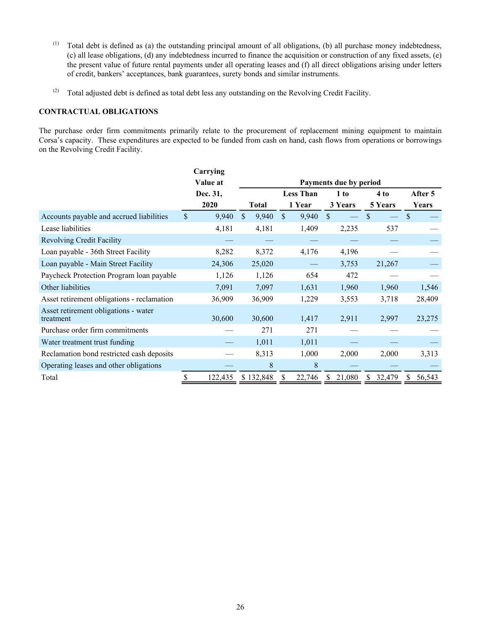- <span id="page-25-0"></span>(1) Total debt is defined as (a) the outstanding principal amount of all obligations, (b) all purchase money indebtedness, (c) all lease obligations, (d) any indebtedness incurred to finance the acquisition or construction of any fixed assets, (e) the present value of future rental payments under all operating leases and (f) all direct obligations arising under letters of credit, bankers' acceptances, bank guarantees, surety bonds and similar instruments.
- (2) Total adjusted debt is defined as total debt less any outstanding on the Revolving Credit Facility.

# **CONTRACTUAL OBLIGATIONS**

The purchase order firm commitments primarily relate to the procurement of replacement mining equipment to maintain Corsa's capacity. These expenditures are expected to be funded from cash on hand, cash flows from operations or borrowings on the Revolving Credit Facility.

|                                                   |                    | Carrying |              |     |                  |               |                        |               |               |         |
|---------------------------------------------------|--------------------|----------|--------------|-----|------------------|---------------|------------------------|---------------|---------------|---------|
|                                                   |                    | Value at |              |     |                  |               | Payments due by period |               |               |         |
|                                                   |                    | Dec. 31, |              |     | <b>Less Than</b> |               | 1 to                   | 4 to          |               | After 5 |
|                                                   |                    | 2020     | <b>Total</b> |     | 1 Year           |               | 3 Years                | 5 Years       |               | Years   |
| Accounts payable and accrued liabilities          | $\mathbf{\hat{S}}$ | 9,940    | \$.<br>9,940 | \$. | 9,940            | <sup>\$</sup> |                        | \$.           | <sup>\$</sup> |         |
| Lease liabilities                                 |                    | 4,181    | 4,181        |     | 1,409            |               | 2,235                  | 537           |               |         |
| <b>Revolving Credit Facility</b>                  |                    |          |              |     |                  |               |                        |               |               |         |
| Loan payable - 36th Street Facility               |                    | 8,282    | 8,372        |     | 4,176            |               | 4,196                  |               |               |         |
| Loan payable - Main Street Facility               |                    | 24,306   | 25,020       |     |                  |               | 3,753                  | 21,267        |               |         |
| Paycheck Protection Program loan payable          |                    | 1,126    | 1,126        |     | 654              |               | 472                    |               |               |         |
| Other liabilities                                 |                    | 7,091    | 7,097        |     | 1,631            |               | 1,960                  | 1,960         |               | 1,546   |
| Asset retirement obligations - reclamation        |                    | 36,909   | 36,909       |     | 1,229            |               | 3,553                  | 3,718         |               | 28,409  |
| Asset retirement obligations - water<br>treatment |                    | 30,600   | 30,600       |     | 1,417            |               | 2,911                  | 2,997         |               | 23,275  |
| Purchase order firm commitments                   |                    |          | 271          |     | 271              |               |                        |               |               |         |
| Water treatment trust funding                     |                    |          | 1,011        |     | 1,011            |               |                        |               |               |         |
| Reclamation bond restricted cash deposits         |                    |          | 8,313        |     | 1,000            |               | 2,000                  | 2,000         |               | 3,313   |
| Operating leases and other obligations            |                    |          | 8            |     | 8                |               |                        |               |               |         |
| Total                                             | S                  | 122,435  | \$132,848    | \$  | 22,746           | S             | 21,080                 | 32,479<br>\$. | S             | 56,543  |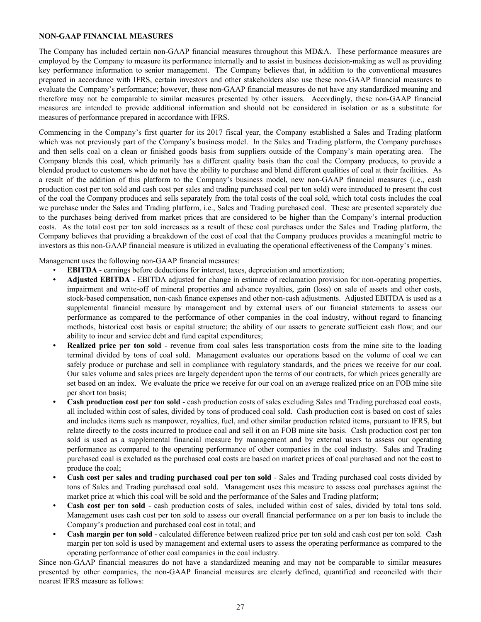# <span id="page-26-0"></span>**NON-GAAP FINANCIAL MEASURES**

The Company has included certain non-GAAP financial measures throughout this MD&A. These performance measures are employed by the Company to measure its performance internally and to assist in business decision-making as well as providing key performance information to senior management. The Company believes that, in addition to the conventional measures prepared in accordance with IFRS, certain investors and other stakeholders also use these non-GAAP financial measures to evaluate the Company's performance; however, these non-GAAP financial measures do not have any standardized meaning and therefore may not be comparable to similar measures presented by other issuers. Accordingly, these non-GAAP financial measures are intended to provide additional information and should not be considered in isolation or as a substitute for measures of performance prepared in accordance with IFRS.

Commencing in the Company's first quarter for its 2017 fiscal year, the Company established a Sales and Trading platform which was not previously part of the Company's business model. In the Sales and Trading platform, the Company purchases and then sells coal on a clean or finished goods basis from suppliers outside of the Company's main operating area. The Company blends this coal, which primarily has a different quality basis than the coal the Company produces, to provide a blended product to customers who do not have the ability to purchase and blend different qualities of coal at their facilities. As a result of the addition of this platform to the Company's business model, new non-GAAP financial measures (i.e., cash production cost per ton sold and cash cost per sales and trading purchased coal per ton sold) were introduced to present the cost of the coal the Company produces and sells separately from the total costs of the coal sold, which total costs includes the coal we purchase under the Sales and Trading platform, i.e., Sales and Trading purchased coal. These are presented separately due to the purchases being derived from market prices that are considered to be higher than the Company's internal production costs. As the total cost per ton sold increases as a result of these coal purchases under the Sales and Trading platform, the Company believes that providing a breakdown of the cost of coal that the Company produces provides a meaningful metric to investors as this non-GAAP financial measure is utilized in evaluating the operational effectiveness of the Company's mines.

Management uses the following non-GAAP financial measures:

- **EBITDA** earnings before deductions for interest, taxes, depreciation and amortization;
- **• Adjusted EBITDA** EBITDA adjusted for change in estimate of reclamation provision for non-operating properties, impairment and write-off of mineral properties and advance royalties, gain (loss) on sale of assets and other costs, stock-based compensation, non-cash finance expenses and other non-cash adjustments. Adjusted EBITDA is used as a supplemental financial measure by management and by external users of our financial statements to assess our performance as compared to the performance of other companies in the coal industry, without regard to financing methods, historical cost basis or capital structure; the ability of our assets to generate sufficient cash flow; and our ability to incur and service debt and fund capital expenditures;
- **Realized price per ton sold** revenue from coal sales less transportation costs from the mine site to the loading terminal divided by tons of coal sold. Management evaluates our operations based on the volume of coal we can safely produce or purchase and sell in compliance with regulatory standards, and the prices we receive for our coal. Our sales volume and sales prices are largely dependent upon the terms of our contracts, for which prices generally are set based on an index. We evaluate the price we receive for our coal on an average realized price on an FOB mine site per short ton basis;
- **• Cash production cost per ton sold** cash production costs of sales excluding Sales and Trading purchased coal costs, all included within cost of sales, divided by tons of produced coal sold. Cash production cost is based on cost of sales and includes items such as manpower, royalties, fuel, and other similar production related items, pursuant to IFRS, but relate directly to the costs incurred to produce coal and sell it on an FOB mine site basis. Cash production cost per ton sold is used as a supplemental financial measure by management and by external users to assess our operating performance as compared to the operating performance of other companies in the coal industry. Sales and Trading purchased coal is excluded as the purchased coal costs are based on market prices of coal purchased and not the cost to produce the coal;
- **• Cash cost per sales and trading purchased coal per ton sold** Sales and Trading purchased coal costs divided by tons of Sales and Trading purchased coal sold. Management uses this measure to assess coal purchases against the market price at which this coal will be sold and the performance of the Sales and Trading platform;
- **• Cash cost per ton sold** cash production costs of sales, included within cost of sales, divided by total tons sold. Management uses cash cost per ton sold to assess our overall financial performance on a per ton basis to include the Company's production and purchased coal cost in total; and
- **• Cash margin per ton sold** calculated difference between realized price per ton sold and cash cost per ton sold. Cash margin per ton sold is used by management and external users to assess the operating performance as compared to the operating performance of other coal companies in the coal industry.

Since non-GAAP financial measures do not have a standardized meaning and may not be comparable to similar measures presented by other companies, the non-GAAP financial measures are clearly defined, quantified and reconciled with their nearest IFRS measure as follows: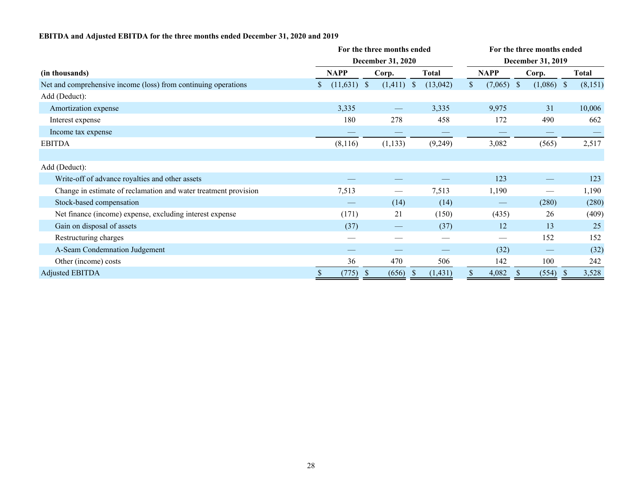# **EBITDA and Adjusted EBITDA for the three months ended December 31, 2020 and 2019**

|                                                                 |                     | For the three months ended |                   |       | For the three months ended   |                   |              |  |  |  |  |  |  |
|-----------------------------------------------------------------|---------------------|----------------------------|-------------------|-------|------------------------------|-------------------|--------------|--|--|--|--|--|--|
|                                                                 | December 31, 2020   |                            | December 31, 2019 |       |                              |                   |              |  |  |  |  |  |  |
| (in thousands)                                                  | <b>NAPP</b>         | Corp.                      | <b>Total</b>      |       | <b>NAPP</b>                  | Corp.             | <b>Total</b> |  |  |  |  |  |  |
| Net and comprehensive income (loss) from continuing operations  | $(11,631)$ \$<br>S. | $(1,411)$ \$               | (13,042)          |       | $(7,065)$ \$<br><sup>S</sup> | $(1,086)$ \$      | (8,151)      |  |  |  |  |  |  |
| Add (Deduct):                                                   |                     |                            |                   |       |                              |                   |              |  |  |  |  |  |  |
| Amortization expense                                            | 3,335               |                            | 3,335             |       | 9,975                        | 31                | 10,006       |  |  |  |  |  |  |
| Interest expense                                                | 180                 | 278                        |                   | 458   | 172                          | 490               | 662          |  |  |  |  |  |  |
| Income tax expense                                              |                     |                            |                   |       |                              |                   |              |  |  |  |  |  |  |
| <b>EBITDA</b>                                                   | (8,116)             | (1, 133)                   | (9,249)           |       | 3,082                        | (565)             | 2,517        |  |  |  |  |  |  |
|                                                                 |                     |                            |                   |       |                              |                   |              |  |  |  |  |  |  |
| Add (Deduct):                                                   |                     |                            |                   |       |                              |                   |              |  |  |  |  |  |  |
| Write-off of advance royalties and other assets                 |                     |                            |                   |       | 123                          |                   | 123          |  |  |  |  |  |  |
| Change in estimate of reclamation and water treatment provision | 7,513               |                            | 7,513             |       | 1,190                        |                   | 1,190        |  |  |  |  |  |  |
| Stock-based compensation                                        |                     | (14)                       |                   | (14)  |                              | (280)             | (280)        |  |  |  |  |  |  |
| Net finance (income) expense, excluding interest expense        | (171)               | 21                         |                   | (150) | (435)                        | 26                | (409)        |  |  |  |  |  |  |
| Gain on disposal of assets                                      | (37)                |                            |                   | (37)  | 12                           | 13                | 25           |  |  |  |  |  |  |
| Restructuring charges                                           |                     |                            |                   |       |                              | 152               | 152          |  |  |  |  |  |  |
| A-Seam Condemnation Judgement                                   |                     |                            |                   |       | (32)                         | $\hspace{0.05cm}$ | (32)         |  |  |  |  |  |  |
| Other (income) costs                                            | 36                  | 470                        |                   | 506   | 142                          | 100               | 242          |  |  |  |  |  |  |
| <b>Adjusted EBITDA</b>                                          | (775)               | (656)<br>-S                | (1, 431)<br>- 5   |       | 4,082                        | (554)             | 3,528        |  |  |  |  |  |  |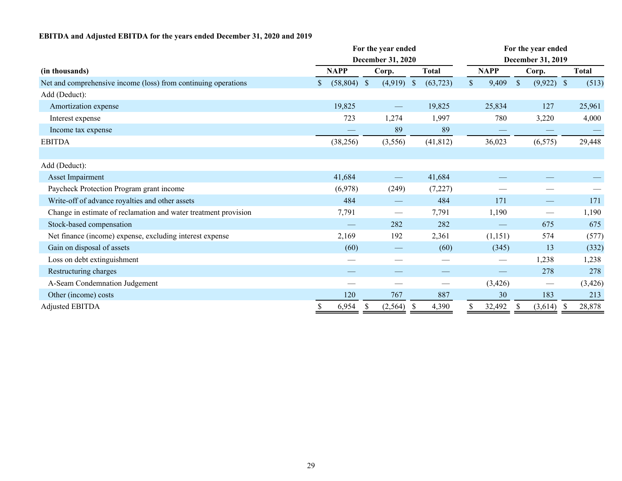# **EBITDA and Adjusted EBITDA for the years ended December 31, 2020 and 2019**

|                                                                 |                     | For the year ended       |               | For the year ended |                   |                   |                           |                                 |              |          |  |  |
|-----------------------------------------------------------------|---------------------|--------------------------|---------------|--------------------|-------------------|-------------------|---------------------------|---------------------------------|--------------|----------|--|--|
|                                                                 |                     | <b>December 31, 2020</b> |               |                    | December 31, 2019 |                   |                           |                                 |              |          |  |  |
| (in thousands)                                                  | <b>NAPP</b>         | Corp.                    |               | <b>Total</b>       |                   | <b>NAPP</b>       | Corp.                     |                                 | <b>Total</b> |          |  |  |
| Net and comprehensive income (loss) from continuing operations  | \$<br>$(58,804)$ \$ | (4,919)                  | $\mathcal{S}$ | (63, 723)          | $\mathbb{S}$      | 9,409             | $\boldsymbol{\mathsf{S}}$ | $(9,922)$ \$                    |              | (513)    |  |  |
| Add (Deduct):                                                   |                     |                          |               |                    |                   |                   |                           |                                 |              |          |  |  |
| Amortization expense                                            | 19,825              |                          |               | 19,825             |                   | 25,834            |                           | 127                             |              | 25,961   |  |  |
| Interest expense                                                | 723                 | 1,274                    |               | 1,997              |                   | 780               |                           | 3,220                           |              | 4,000    |  |  |
| Income tax expense                                              |                     | 89                       |               | 89                 |                   |                   |                           |                                 |              |          |  |  |
| <b>EBITDA</b>                                                   | (38, 256)           | (3,556)                  |               | (41, 812)          |                   | 36,023            |                           | (6, 575)                        |              | 29,448   |  |  |
|                                                                 |                     |                          |               |                    |                   |                   |                           |                                 |              |          |  |  |
| Add (Deduct):                                                   |                     |                          |               |                    |                   |                   |                           |                                 |              |          |  |  |
| Asset Impairment                                                | 41,684              |                          |               | 41,684             |                   |                   |                           |                                 |              |          |  |  |
| Paycheck Protection Program grant income                        | (6,978)             | (249)                    |               | (7,227)            |                   |                   |                           |                                 |              |          |  |  |
| Write-off of advance royalties and other assets                 | 484                 |                          |               | 484                |                   | 171               |                           |                                 |              | 171      |  |  |
| Change in estimate of reclamation and water treatment provision | 7,791               |                          |               | 7,791              |                   | 1,190             |                           |                                 |              | 1,190    |  |  |
| Stock-based compensation                                        |                     | 282                      |               | 282                |                   | $\hspace{0.05cm}$ |                           | 675                             |              | 675      |  |  |
| Net finance (income) expense, excluding interest expense        | 2,169               | 192                      |               | 2,361              |                   | (1,151)           |                           | 574                             |              | (577)    |  |  |
| Gain on disposal of assets                                      | (60)                | --                       |               | (60)               |                   | (345)             |                           | 13                              |              | (332)    |  |  |
| Loss on debt extinguishment                                     |                     |                          |               |                    |                   | $\qquad \qquad$   |                           | 1,238                           |              | 1,238    |  |  |
| Restructuring charges                                           |                     |                          |               |                    |                   |                   |                           | 278                             |              | 278      |  |  |
| A-Seam Condemnation Judgement                                   |                     |                          |               |                    |                   | (3, 426)          |                           | $\hspace{0.1mm}-\hspace{0.1mm}$ |              | (3, 426) |  |  |
| Other (income) costs                                            | 120                 | 767                      |               | 887                |                   | 30                |                           | 183                             |              | 213      |  |  |
| <b>Adjusted EBITDA</b>                                          | \$<br>6,954         | \$<br>(2, 564)           | -S            | 4,390              | \$                | 32,492            | \$                        | (3,614)                         | -S           | 28,878   |  |  |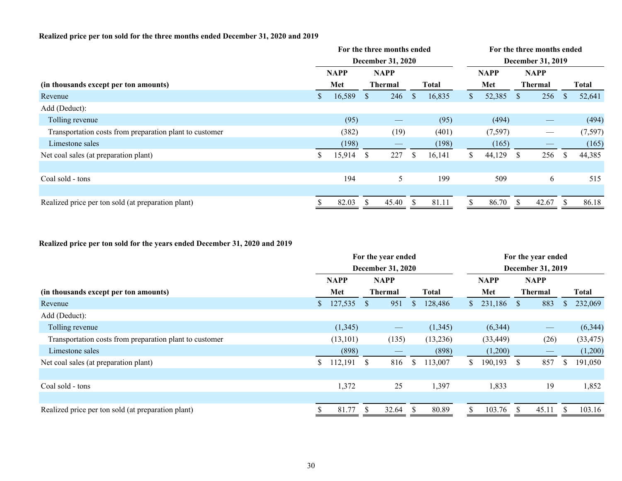# **Realized price per ton sold for the three months ended December 31, 2020 and 2019**

| <b>December 31, 2019</b>                      |                                        |  |  |  |  |  |  |  |
|-----------------------------------------------|----------------------------------------|--|--|--|--|--|--|--|
|                                               |                                        |  |  |  |  |  |  |  |
|                                               | <b>Total</b>                           |  |  |  |  |  |  |  |
| 256                                           | 52,641<br><sup>\$</sup>                |  |  |  |  |  |  |  |
|                                               |                                        |  |  |  |  |  |  |  |
| $\qquad \qquad \overbrace{\qquad \qquad }^{}$ | (494)                                  |  |  |  |  |  |  |  |
| $\hspace{0.05cm}$                             | (7, 597)                               |  |  |  |  |  |  |  |
|                                               | (165)                                  |  |  |  |  |  |  |  |
| 256                                           | 44,385<br><sup>S</sup>                 |  |  |  |  |  |  |  |
|                                               |                                        |  |  |  |  |  |  |  |
| 6                                             | 515                                    |  |  |  |  |  |  |  |
|                                               |                                        |  |  |  |  |  |  |  |
|                                               | 86.18                                  |  |  |  |  |  |  |  |
|                                               | <b>NAPP</b><br><b>Thermal</b><br>42.67 |  |  |  |  |  |  |  |

# **Realized price per ton sold for the years ended December 31, 2020 and 2019**

|                                                         | For the year ended |             |              |                                 |              |              |                          | For the year ended |              |                                 |    |              |  |  |  |
|---------------------------------------------------------|--------------------|-------------|--------------|---------------------------------|--------------|--------------|--------------------------|--------------------|--------------|---------------------------------|----|--------------|--|--|--|
|                                                         |                    |             |              | <b>December 31, 2020</b>        |              |              | <b>December 31, 2019</b> |                    |              |                                 |    |              |  |  |  |
|                                                         |                    | <b>NAPP</b> |              | <b>NAPP</b>                     |              |              |                          | <b>NAPP</b>        |              | <b>NAPP</b>                     |    |              |  |  |  |
| (in thousands except per ton amounts)                   |                    | Met         |              | <b>Thermal</b>                  |              | <b>Total</b> |                          | Met                |              | <b>Thermal</b>                  |    | <b>Total</b> |  |  |  |
| Revenue                                                 | $\mathbb{S}^-$     | 127,535     | <sup>S</sup> | 951                             | \$           | 128,486      | $\mathbf{s}$             | 231,186            | <sup>S</sup> | 883                             |    | 232,069      |  |  |  |
| Add (Deduct):                                           |                    |             |              |                                 |              |              |                          |                    |              |                                 |    |              |  |  |  |
| Tolling revenue                                         |                    | (1, 345)    |              | $\hspace{0.1mm}-\hspace{0.1mm}$ |              | (1,345)      |                          | (6,344)            |              | $\hspace{0.1mm}-\hspace{0.1mm}$ |    | (6,344)      |  |  |  |
| Transportation costs from preparation plant to customer |                    | (13, 101)   |              | (135)                           |              | (13,236)     |                          | (33, 449)          |              | (26)                            |    | (33, 475)    |  |  |  |
| Limestone sales                                         |                    | (898)       |              |                                 |              | (898)        |                          | (1,200)            |              |                                 |    | (1,200)      |  |  |  |
| Net coal sales (at preparation plant)                   | S.                 | 112,191     | <sup>S</sup> | 816                             | <sup>S</sup> | 113,007      | S.                       | 190,193            | <sup>S</sup> | 857                             | S. | 191,050      |  |  |  |
|                                                         |                    |             |              |                                 |              |              |                          |                    |              |                                 |    |              |  |  |  |
| Coal sold - tons                                        |                    | 1,372       |              | 25                              |              | 1,397        |                          | 1,833              |              | 19                              |    | 1,852        |  |  |  |
|                                                         |                    |             |              |                                 |              |              |                          |                    |              |                                 |    |              |  |  |  |
| Realized price per ton sold (at preparation plant)      |                    | 81.77       | S            | 32.64                           | <sup>S</sup> | 80.89        |                          | 103.76             | <sup>S</sup> | 45.11                           |    | 103.16       |  |  |  |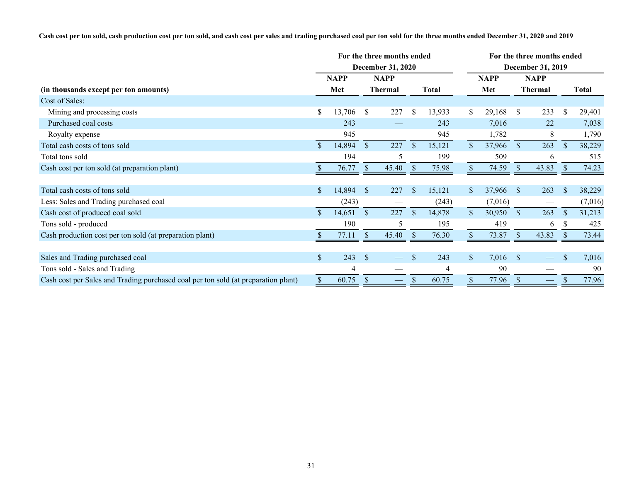**Cash cost per ton sold, cash production cost per ton sold, and cash cost per sales and trading purchased coal per ton sold for the three months ended December 31, 2020 and 2019**

|                                                                                    | For the three months ended |             |                           |                               |               |              |                | For the three months ended |                          |                                 |               |         |  |  |  |  |
|------------------------------------------------------------------------------------|----------------------------|-------------|---------------------------|-------------------------------|---------------|--------------|----------------|----------------------------|--------------------------|---------------------------------|---------------|---------|--|--|--|--|
|                                                                                    |                            |             |                           | <b>December 31, 2020</b>      |               |              |                |                            | <b>December 31, 2019</b> |                                 |               |         |  |  |  |  |
|                                                                                    |                            | <b>NAPP</b> | <b>NAPP</b>               |                               |               |              |                | <b>NAPP</b>                | <b>NAPP</b>              |                                 |               |         |  |  |  |  |
| (in thousands except per ton amounts)                                              |                            | Met         |                           | <b>Thermal</b>                |               | <b>Total</b> |                | Met                        |                          | Thermal                         |               | Total   |  |  |  |  |
| Cost of Sales:                                                                     |                            |             |                           |                               |               |              |                |                            |                          |                                 |               |         |  |  |  |  |
| Mining and processing costs                                                        | \$                         | 13,706      | <sup>S</sup>              | 227                           | \$            | 13,933       | S.             | 29,168                     | <sup>S</sup>             | 233                             | $\mathbb{S}$  | 29,401  |  |  |  |  |
| Purchased coal costs                                                               |                            | 243         |                           |                               |               | 243          |                | 7,016                      |                          | 22                              |               | 7,038   |  |  |  |  |
| Royalty expense                                                                    |                            | 945         |                           |                               |               | 945          |                | 1,782                      |                          | 8                               |               | 1,790   |  |  |  |  |
| Total cash costs of tons sold                                                      | $\mathcal{S}$              | 14,894      | $\mathcal{S}$             | 227                           | <sup>S</sup>  | 15,121       | $\mathbb{S}$   | 37,966                     | $\mathcal{S}$            | 263                             | $\mathcal{S}$ | 38,229  |  |  |  |  |
| Total tons sold                                                                    |                            | 194         |                           | 5                             |               | 199          |                | 509                        |                          | 6                               |               | 515     |  |  |  |  |
| Cash cost per ton sold (at preparation plant)                                      |                            | 76.77       | <sup>S</sup>              | 45.40                         | <sup>S</sup>  | 75.98        |                | 74.59                      | -S                       | 43.83                           |               | 74.23   |  |  |  |  |
|                                                                                    |                            |             |                           |                               |               |              |                |                            |                          |                                 |               |         |  |  |  |  |
| Total cash costs of tons sold                                                      | <sup>\$</sup>              | 14,894      | <sup>S</sup>              | 227                           | <sup>\$</sup> | 15,121       | S.             | 37,966                     | -S                       | 263                             | <sup>S</sup>  | 38,229  |  |  |  |  |
| Less: Sales and Trading purchased coal                                             |                            | (243)       |                           |                               |               | (243)        |                | (7,016)                    |                          | $\overbrace{\qquad \qquad }^{}$ |               | (7,016) |  |  |  |  |
| Cash cost of produced coal sold                                                    |                            | 14,651      | <sup>S</sup>              | 227                           | $\mathbb{S}$  | 14,878       | $\mathbb{S}^-$ | 30,950                     | <sup>S</sup>             | 263                             | <sup>S</sup>  | 31,213  |  |  |  |  |
| Tons sold - produced                                                               |                            | 190         |                           | 5                             |               | 195          |                | 419                        |                          | 6                               |               | 425     |  |  |  |  |
| Cash production cost per ton sold (at preparation plant)                           |                            | 77.11       | $\mathcal{S}$             | 45.40                         | <sup>\$</sup> | 76.30        |                | 73.87                      | <sup>S</sup>             | 43.83                           |               | 73.44   |  |  |  |  |
|                                                                                    |                            |             |                           |                               |               |              |                |                            |                          |                                 |               |         |  |  |  |  |
| Sales and Trading purchased coal                                                   | $\mathbb{S}$               | 243         | <sup>\$</sup>             |                               | \$            | 243          | $\mathbb{S}^-$ | $7,016$ \$                 |                          |                                 |               | 7,016   |  |  |  |  |
| Tons sold - Sales and Trading                                                      |                            | 4           |                           |                               |               |              |                | 90                         |                          |                                 |               | 90      |  |  |  |  |
| Cash cost per Sales and Trading purchased coal per ton sold (at preparation plant) | \$                         | 60.75       | $\boldsymbol{\mathsf{S}}$ | $\overbrace{\phantom{aaaaa}}$ | S             | 60.75        | \$             | 77.96                      | <sup>S</sup>             | $\overline{\phantom{0}}$        |               | 77.96   |  |  |  |  |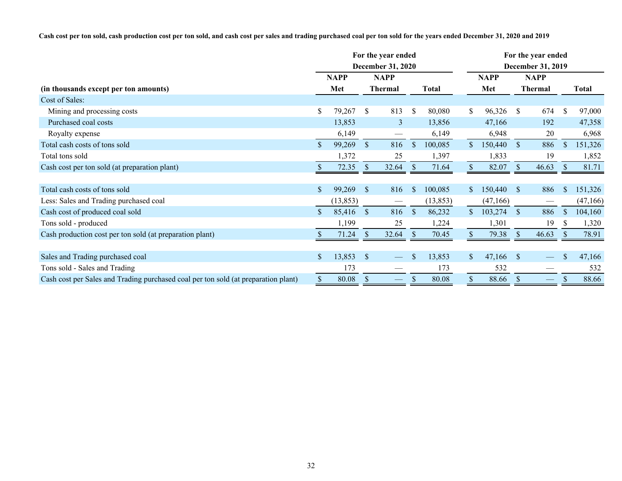**Cash cost per ton sold, cash production cost per ton sold, and cash cost per sales and trading purchased coal per ton sold for the years ended December 31, 2020 and 2019**

|                                                                                    | For the year ended |             |               |                                                                                                                                                                                                                                                                                                                                                                                                                                                                            |               |              |                   | For the year ended |               |                          |               |          |  |  |  |
|------------------------------------------------------------------------------------|--------------------|-------------|---------------|----------------------------------------------------------------------------------------------------------------------------------------------------------------------------------------------------------------------------------------------------------------------------------------------------------------------------------------------------------------------------------------------------------------------------------------------------------------------------|---------------|--------------|-------------------|--------------------|---------------|--------------------------|---------------|----------|--|--|--|
|                                                                                    |                    |             |               | <b>December 31, 2020</b>                                                                                                                                                                                                                                                                                                                                                                                                                                                   |               |              | December 31, 2019 |                    |               |                          |               |          |  |  |  |
|                                                                                    |                    | <b>NAPP</b> | <b>NAPP</b>   |                                                                                                                                                                                                                                                                                                                                                                                                                                                                            |               |              |                   | <b>NAPP</b>        | <b>NAPP</b>   |                          |               |          |  |  |  |
| (in thousands except per ton amounts)                                              |                    | Met         |               | <b>Thermal</b>                                                                                                                                                                                                                                                                                                                                                                                                                                                             |               | <b>Total</b> |                   | Met                |               | <b>Thermal</b>           |               | Total    |  |  |  |
| Cost of Sales:                                                                     |                    |             |               |                                                                                                                                                                                                                                                                                                                                                                                                                                                                            |               |              |                   |                    |               |                          |               |          |  |  |  |
| Mining and processing costs                                                        | S.                 | 79,267      | <sup>S</sup>  | 813                                                                                                                                                                                                                                                                                                                                                                                                                                                                        | $\mathbb{S}$  | 80,080       | S.                | 96,326             | <sup>S</sup>  | 674                      | <sup>\$</sup> | 97,000   |  |  |  |
| Purchased coal costs                                                               |                    | 13,853      |               | $\overline{3}$                                                                                                                                                                                                                                                                                                                                                                                                                                                             |               | 13,856       |                   | 47,166             |               | 192                      |               | 47,358   |  |  |  |
| Royalty expense                                                                    |                    | 6,149       |               | $\hspace{0.05cm}$                                                                                                                                                                                                                                                                                                                                                                                                                                                          |               | 6,149        |                   | 6,948              |               | 20                       |               | 6,968    |  |  |  |
| Total cash costs of tons sold                                                      | $\mathbb{S}$       | 99,269      | $\mathcal{S}$ | 816                                                                                                                                                                                                                                                                                                                                                                                                                                                                        | $\mathcal{S}$ | 100,085      | $\mathbb{S}$      | 150,440            | $\mathcal{S}$ | 886                      | \$            | 151,326  |  |  |  |
| Total tons sold                                                                    |                    | 1,372       |               | 25                                                                                                                                                                                                                                                                                                                                                                                                                                                                         |               | 1,397        |                   | 1,833              |               | 19                       |               | 1,852    |  |  |  |
| Cash cost per ton sold (at preparation plant)                                      |                    | 72.35       | <sup>S</sup>  | 32.64                                                                                                                                                                                                                                                                                                                                                                                                                                                                      | <sup>S</sup>  | 71.64        |                   | 82.07              | <sup>S</sup>  | 46.63                    |               | 81.71    |  |  |  |
|                                                                                    |                    |             |               |                                                                                                                                                                                                                                                                                                                                                                                                                                                                            |               |              |                   |                    |               |                          |               |          |  |  |  |
| Total cash costs of tons sold                                                      |                    | 99,269      | <sup>S</sup>  | 816                                                                                                                                                                                                                                                                                                                                                                                                                                                                        | $\mathbf{\$}$ | 100,085      | $\mathbb{S}^-$    | 150,440            | <sup>S</sup>  | 886                      | S             | 151,326  |  |  |  |
| Less: Sales and Trading purchased coal                                             |                    | (13, 853)   |               | $\frac{1}{2} \left( \frac{1}{2} \right) \left( \frac{1}{2} \right) \left( \frac{1}{2} \right) \left( \frac{1}{2} \right) \left( \frac{1}{2} \right) \left( \frac{1}{2} \right) \left( \frac{1}{2} \right) \left( \frac{1}{2} \right) \left( \frac{1}{2} \right) \left( \frac{1}{2} \right) \left( \frac{1}{2} \right) \left( \frac{1}{2} \right) \left( \frac{1}{2} \right) \left( \frac{1}{2} \right) \left( \frac{1}{2} \right) \left( \frac{1}{2} \right) \left( \frac$ |               | (13, 853)    |                   | (47,166)           |               |                          |               | (47,166) |  |  |  |
| Cash cost of produced coal sold                                                    |                    | 85,416      | $\mathcal{S}$ | 816                                                                                                                                                                                                                                                                                                                                                                                                                                                                        | $\mathbb{S}$  | 86,232       | $\mathbb{S}$      | 103,274            | <sup>S</sup>  | 886                      | S             | 104,160  |  |  |  |
| Tons sold - produced                                                               |                    | 1,199       |               | 25                                                                                                                                                                                                                                                                                                                                                                                                                                                                         |               | 1,224        |                   | 1,301              |               | 19                       |               | 1,320    |  |  |  |
| Cash production cost per ton sold (at preparation plant)                           |                    | 71.24       | $\mathcal{S}$ | 32.64                                                                                                                                                                                                                                                                                                                                                                                                                                                                      | -S            | 70.45        |                   | 79.38              | <sup>S</sup>  | 46.63                    | <sup>S</sup>  | 78.91    |  |  |  |
|                                                                                    |                    |             |               |                                                                                                                                                                                                                                                                                                                                                                                                                                                                            |               |              |                   |                    |               |                          |               |          |  |  |  |
| Sales and Trading purchased coal                                                   | \$                 | 13,853      | <sup>S</sup>  |                                                                                                                                                                                                                                                                                                                                                                                                                                                                            | \$            | 13,853       | $\mathbb{S}^-$    | 47,166             | <sup>S</sup>  |                          | \$            | 47,166   |  |  |  |
| Tons sold - Sales and Trading                                                      |                    | 173         |               |                                                                                                                                                                                                                                                                                                                                                                                                                                                                            |               | 173          |                   | 532                |               |                          |               | 532      |  |  |  |
| Cash cost per Sales and Trading purchased coal per ton sold (at preparation plant) | \$                 | 80.08       | $\mathcal{S}$ | $\overline{\phantom{0}}$                                                                                                                                                                                                                                                                                                                                                                                                                                                   | S             | 80.08        | \$                | 88.66              | <sup>S</sup>  | $\overline{\phantom{0}}$ |               | 88.66    |  |  |  |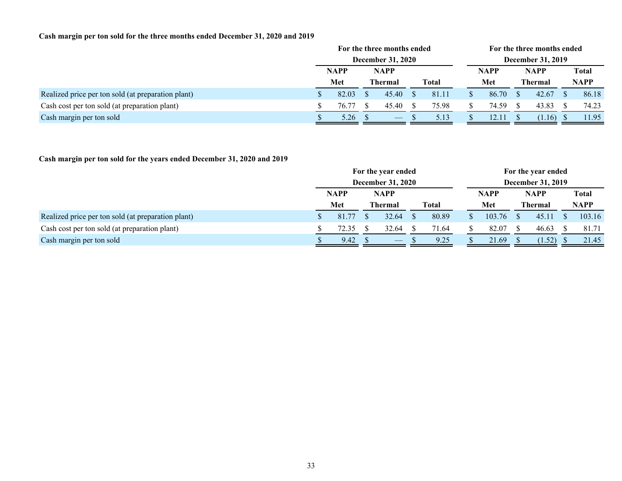# **Cash margin per ton sold for the three months ended December 31, 2020 and 2019**

|                                                    | For the three months ended |                          |  |                                |  |              |                          | For the three months ended |             |                |  |              |  |  |
|----------------------------------------------------|----------------------------|--------------------------|--|--------------------------------|--|--------------|--------------------------|----------------------------|-------------|----------------|--|--------------|--|--|
|                                                    |                            | <b>December 31, 2020</b> |  |                                |  |              | <b>December 31, 2019</b> |                            |             |                |  |              |  |  |
|                                                    |                            | <b>NAPP</b>              |  | <b>NAPP</b>                    |  |              |                          | <b>NAPP</b>                | <b>NAPP</b> |                |  | <b>Total</b> |  |  |
|                                                    |                            | Met                      |  | <b>Thermal</b>                 |  | <b>Total</b> |                          | Met                        |             | <b>Thermal</b> |  | <b>NAPP</b>  |  |  |
| Realized price per ton sold (at preparation plant) |                            | 82.03                    |  | 45.40                          |  | 81.11        |                          | 86.70                      |             | 42.67          |  | 86.18        |  |  |
| Cash cost per ton sold (at preparation plant)      |                            | 76.77                    |  | 45.40                          |  | 75.98        |                          | 74.59                      |             | 43.83          |  | 74.23        |  |  |
| Cash margin per ton sold                           |                            | 5.26                     |  | $\overbrace{\hspace{25mm}}^{}$ |  | 5.13         |                          | 12.11                      |             | (1.16)         |  | 11.95        |  |  |

# **Cash margin per ton sold for the years ended December 31, 2020 and 2019**

|                                                    | For the year ended       |             |  |                                 |  |       | For the year ended       |             |  |                |  |              |  |  |
|----------------------------------------------------|--------------------------|-------------|--|---------------------------------|--|-------|--------------------------|-------------|--|----------------|--|--------------|--|--|
|                                                    | <b>December 31, 2020</b> |             |  |                                 |  |       | <b>December 31, 2019</b> |             |  |                |  |              |  |  |
|                                                    |                          | <b>NAPP</b> |  | <b>NAPP</b>                     |  |       |                          | <b>NAPP</b> |  | <b>NAPP</b>    |  | <b>Total</b> |  |  |
|                                                    |                          | Met         |  | <b>Thermal</b>                  |  | Total |                          | Met         |  | <b>Thermal</b> |  | <b>NAPP</b>  |  |  |
| Realized price per ton sold (at preparation plant) |                          | 81.77       |  | 32.64                           |  | 80.89 |                          | 103.76      |  | 45.11          |  | 103.16       |  |  |
| Cash cost per ton sold (at preparation plant)      |                          | 72.35       |  | 32.64                           |  | 71.64 |                          | 82.07       |  | 46.63          |  | 81.71        |  |  |
| Cash margin per ton sold                           |                          | 9.42        |  | $\hspace{0.1mm}-\hspace{0.1mm}$ |  | 9.25  |                          | 21.69       |  | (1.52)         |  | 21.45        |  |  |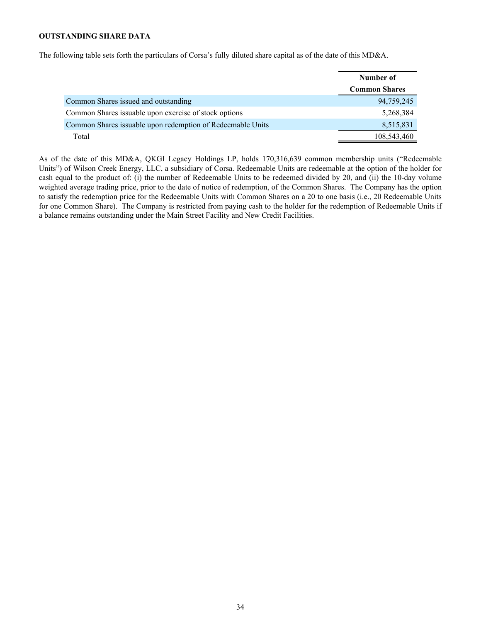# <span id="page-33-0"></span>**OUTSTANDING SHARE DATA**

The following table sets forth the particulars of Corsa's fully diluted share capital as of the date of this MD&A.

|                                                            | Number of            |
|------------------------------------------------------------|----------------------|
|                                                            | <b>Common Shares</b> |
| Common Shares issued and outstanding                       | 94,759,245           |
| Common Shares issuable upon exercise of stock options      | 5,268,384            |
| Common Shares issuable upon redemption of Redeemable Units | 8,515,831            |
| Total                                                      | 108,543,460          |

As of the date of this MD&A, QKGI Legacy Holdings LP, holds 170,316,639 common membership units ("Redeemable Units") of Wilson Creek Energy, LLC, a subsidiary of Corsa. Redeemable Units are redeemable at the option of the holder for cash equal to the product of: (i) the number of Redeemable Units to be redeemed divided by 20, and (ii) the 10-day volume weighted average trading price, prior to the date of notice of redemption, of the Common Shares. The Company has the option to satisfy the redemption price for the Redeemable Units with Common Shares on a 20 to one basis (i.e., 20 Redeemable Units for one Common Share). The Company is restricted from paying cash to the holder for the redemption of Redeemable Units if a balance remains outstanding under the Main Street Facility and New Credit Facilities.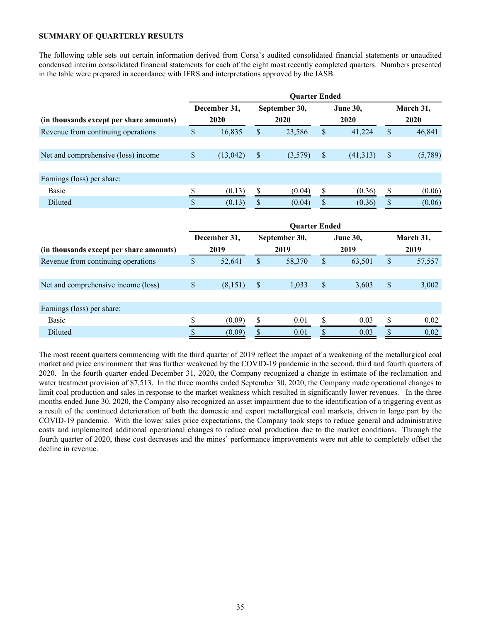# <span id="page-34-0"></span>**SUMMARY OF QUARTERLY RESULTS**

The following table sets out certain information derived from Corsa's audited consolidated financial statements or unaudited condensed interim consolidated financial statements for each of the eight most recently completed quarters. Numbers presented in the table were prepared in accordance with IFRS and interpretations approved by the IASB.

|                                         |              |              |                           | <b>Quarter Ended</b> |                           |                 |               |           |
|-----------------------------------------|--------------|--------------|---------------------------|----------------------|---------------------------|-----------------|---------------|-----------|
|                                         |              | December 31, |                           | September 30,        |                           | <b>June 30,</b> |               | March 31, |
| (in thousands except per share amounts) |              | 2020         |                           | 2020                 |                           | 2020            |               | 2020      |
| Revenue from continuing operations      | \$           | 16,835       | \$                        | 23,586               | $\mathsf{\$}$             | 41,224          | \$            | 46,841    |
| Net and comprehensive (loss) income     | \$           | (13, 042)    | \$                        | (3,579)              | $\sqrt{\ }$               | (41, 313)       | $\mathcal{S}$ | (5,789)   |
| Earnings (loss) per share:              |              |              |                           |                      |                           |                 |               |           |
| <b>Basic</b>                            | \$           | (0.13)       | \$                        | (0.04)               | \$                        | (0.36)          | \$            | (0.06)    |
| Diluted                                 |              | (0.13)       | $\boldsymbol{\mathsf{S}}$ | (0.04)               | $\boldsymbol{\mathsf{S}}$ | (0.36)          |               | (0.06)    |
|                                         |              |              |                           | <b>Quarter Ended</b> |                           |                 |               |           |
|                                         |              | December 31, |                           | September 30,        |                           | June 30,        |               | March 31, |
| (in thousands except per share amounts) |              | 2019         |                           | 2019                 |                           | 2019            |               | 2019      |
| Revenue from continuing operations      | \$           | 52,641       | \$                        | 58,370               | $\mathsf{\$}$             | 63,501          | $\mathsf{\$}$ | 57,557    |
| Net and comprehensive income (loss)     | $\mathbb{S}$ | (8,151)      | \$                        | 1,033                | \$                        | 3,603           | \$            | 3,002     |
| Earnings (loss) per share:              |              |              |                           |                      |                           |                 |               |           |
| <b>Basic</b>                            | \$           | (0.09)       | \$                        | 0.01                 | \$                        | 0.03            | \$            | 0.02      |
| Diluted                                 | \$           | (0.09)       | \$                        | 0.01                 | \$                        | 0.03            | \$            | 0.02      |

The most recent quarters commencing with the third quarter of 2019 reflect the impact of a weakening of the metallurgical coal market and price environment that was further weakened by the COVID-19 pandemic in the second, third and fourth quarters of 2020. In the fourth quarter ended December 31, 2020, the Company recognized a change in estimate of the reclamation and water treatment provision of \$7,513. In the three months ended September 30, 2020, the Company made operational changes to limit coal production and sales in response to the market weakness which resulted in significantly lower revenues. In the three months ended June 30, 2020, the Company also recognized an asset impairment due to the identification of a triggering event as a result of the continued deterioration of both the domestic and export metallurgical coal markets, driven in large part by the COVID-19 pandemic. With the lower sales price expectations, the Company took steps to reduce general and administrative costs and implemented additional operational changes to reduce coal production due to the market conditions. Through the fourth quarter of 2020, these cost decreases and the mines' performance improvements were not able to completely offset the decline in revenue.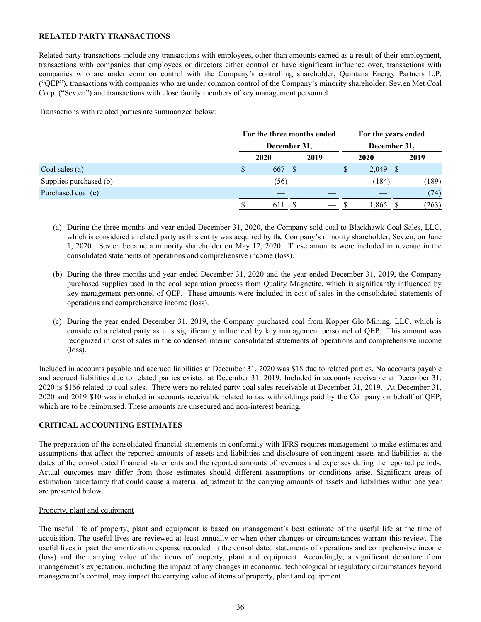# <span id="page-35-0"></span>**RELATED PARTY TRANSACTIONS**

Related party transactions include any transactions with employees, other than amounts earned as a result of their employment, transactions with companies that employees or directors either control or have significant influence over, transactions with companies who are under common control with the Company's controlling shareholder, Quintana Energy Partners L.P. ("QEP"), transactions with companies who are under common control of the Company's minority shareholder, Sev.en Met Coal Corp. ("Sev.en") and transactions with close family members of key management personnel.

Transactions with related parties are summarized below:

|                        |   | For the three months ended |  |      | For the years ended |            |  |       |  |  |
|------------------------|---|----------------------------|--|------|---------------------|------------|--|-------|--|--|
|                        |   | December 31,               |  |      | December 31,        |            |  |       |  |  |
|                        |   | 2020                       |  | 2019 |                     | 2020       |  | 2019  |  |  |
| Coal sales (a)         | S | 667                        |  |      | -S                  | $2,049$ \$ |  |       |  |  |
| Supplies purchased (b) |   | (56)                       |  |      |                     | (184)      |  | (189) |  |  |
| Purchased coal (c)     |   |                            |  |      |                     |            |  | (74)  |  |  |
|                        |   | 611                        |  |      |                     | . 865      |  | (263) |  |  |

- (a) During the three months and year ended December 31, 2020, the Company sold coal to Blackhawk Coal Sales, LLC, which is considered a related party as this entity was acquired by the Company's minority shareholder, Sev.en, on June 1, 2020. Sev.en became a minority shareholder on May 12, 2020. These amounts were included in revenue in the consolidated statements of operations and comprehensive income (loss).
- (b) During the three months and year ended December 31, 2020 and the year ended December 31, 2019, the Company purchased supplies used in the coal separation process from Quality Magnetite, which is significantly influenced by key management personnel of QEP. These amounts were included in cost of sales in the consolidated statements of operations and comprehensive income (loss).
- (c) During the year ended December 31, 2019, the Company purchased coal from Kopper Glo Mining, LLC, which is considered a related party as it is significantly influenced by key management personnel of QEP. This amount was recognized in cost of sales in the condensed interim consolidated statements of operations and comprehensive income (loss).

Included in accounts payable and accrued liabilities at December 31, 2020 was \$18 due to related parties. No accounts payable and accrued liabilities due to related parties existed at December 31, 2019. Included in accounts receivable at December 31, 2020 is \$166 related to coal sales. There were no related party coal sales receivable at December 31, 2019. At December 31, 2020 and 2019 \$10 was included in accounts receivable related to tax withholdings paid by the Company on behalf of QEP, which are to be reimbursed. These amounts are unsecured and non-interest bearing.

# **CRITICAL ACCOUNTING ESTIMATES**

The preparation of the consolidated financial statements in conformity with IFRS requires management to make estimates and assumptions that affect the reported amounts of assets and liabilities and disclosure of contingent assets and liabilities at the dates of the consolidated financial statements and the reported amounts of revenues and expenses during the reported periods. Actual outcomes may differ from those estimates should different assumptions or conditions arise. Significant areas of estimation uncertainty that could cause a material adjustment to the carrying amounts of assets and liabilities within one year are presented below.

# Property, plant and equipment

The useful life of property, plant and equipment is based on management's best estimate of the useful life at the time of acquisition. The useful lives are reviewed at least annually or when other changes or circumstances warrant this review. The useful lives impact the amortization expense recorded in the consolidated statements of operations and comprehensive income (loss) and the carrying value of the items of property, plant and equipment. Accordingly, a significant departure from management's expectation, including the impact of any changes in economic, technological or regulatory circumstances beyond management's control, may impact the carrying value of items of property, plant and equipment.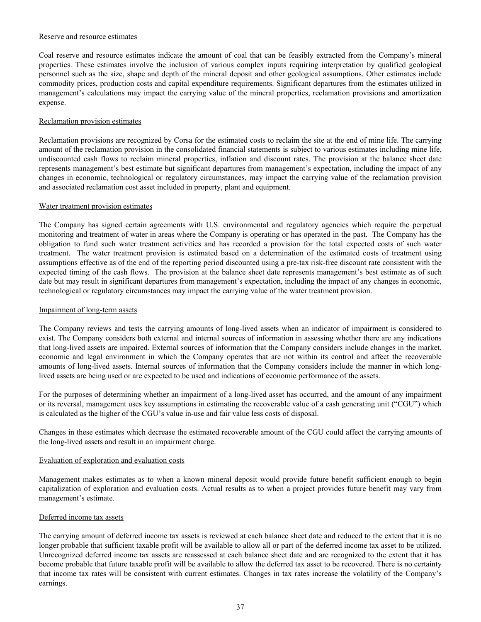#### Reserve and resource estimates

Coal reserve and resource estimates indicate the amount of coal that can be feasibly extracted from the Company's mineral properties. These estimates involve the inclusion of various complex inputs requiring interpretation by qualified geological personnel such as the size, shape and depth of the mineral deposit and other geological assumptions. Other estimates include commodity prices, production costs and capital expenditure requirements. Significant departures from the estimates utilized in management's calculations may impact the carrying value of the mineral properties, reclamation provisions and amortization expense.

# Reclamation provision estimates

Reclamation provisions are recognized by Corsa for the estimated costs to reclaim the site at the end of mine life. The carrying amount of the reclamation provision in the consolidated financial statements is subject to various estimates including mine life, undiscounted cash flows to reclaim mineral properties, inflation and discount rates. The provision at the balance sheet date represents management's best estimate but significant departures from management's expectation, including the impact of any changes in economic, technological or regulatory circumstances, may impact the carrying value of the reclamation provision and associated reclamation cost asset included in property, plant and equipment.

#### Water treatment provision estimates

The Company has signed certain agreements with U.S. environmental and regulatory agencies which require the perpetual monitoring and treatment of water in areas where the Company is operating or has operated in the past. The Company has the obligation to fund such water treatment activities and has recorded a provision for the total expected costs of such water treatment. The water treatment provision is estimated based on a determination of the estimated costs of treatment using assumptions effective as of the end of the reporting period discounted using a pre-tax risk-free discount rate consistent with the expected timing of the cash flows. The provision at the balance sheet date represents management's best estimate as of such date but may result in significant departures from management's expectation, including the impact of any changes in economic, technological or regulatory circumstances may impact the carrying value of the water treatment provision.

#### Impairment of long-term assets

The Company reviews and tests the carrying amounts of long-lived assets when an indicator of impairment is considered to exist. The Company considers both external and internal sources of information in assessing whether there are any indications that long-lived assets are impaired. External sources of information that the Company considers include changes in the market, economic and legal environment in which the Company operates that are not within its control and affect the recoverable amounts of long-lived assets. Internal sources of information that the Company considers include the manner in which longlived assets are being used or are expected to be used and indications of economic performance of the assets.

For the purposes of determining whether an impairment of a long-lived asset has occurred, and the amount of any impairment or its reversal, management uses key assumptions in estimating the recoverable value of a cash generating unit ("CGU") which is calculated as the higher of the CGU's value in-use and fair value less costs of disposal.

Changes in these estimates which decrease the estimated recoverable amount of the CGU could affect the carrying amounts of the long-lived assets and result in an impairment charge.

# Evaluation of exploration and evaluation costs

Management makes estimates as to when a known mineral deposit would provide future benefit sufficient enough to begin capitalization of exploration and evaluation costs. Actual results as to when a project provides future benefit may vary from management's estimate.

#### Deferred income tax assets

The carrying amount of deferred income tax assets is reviewed at each balance sheet date and reduced to the extent that it is no longer probable that sufficient taxable profit will be available to allow all or part of the deferred income tax asset to be utilized. Unrecognized deferred income tax assets are reassessed at each balance sheet date and are recognized to the extent that it has become probable that future taxable profit will be available to allow the deferred tax asset to be recovered. There is no certainty that income tax rates will be consistent with current estimates. Changes in tax rates increase the volatility of the Company's earnings.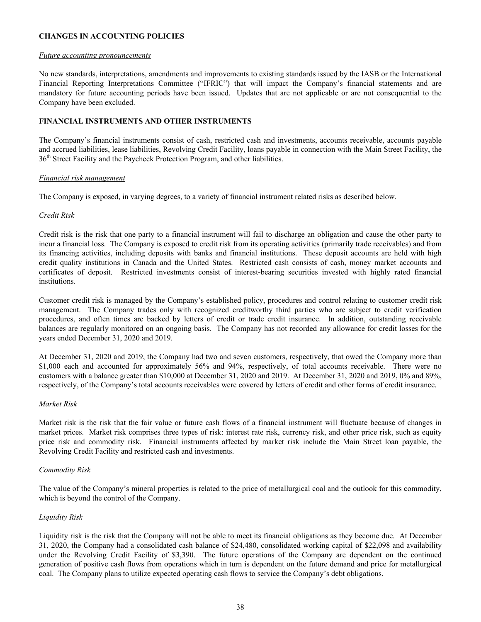# <span id="page-37-0"></span>**CHANGES IN ACCOUNTING POLICIES**

#### *Future accounting pronouncements*

No new standards, interpretations, amendments and improvements to existing standards issued by the IASB or the International Financial Reporting Interpretations Committee ("IFRIC") that will impact the Company's financial statements and are mandatory for future accounting periods have been issued. Updates that are not applicable or are not consequential to the Company have been excluded.

# **FINANCIAL INSTRUMENTS AND OTHER INSTRUMENTS**

The Company's financial instruments consist of cash, restricted cash and investments, accounts receivable, accounts payable and accrued liabilities, lease liabilities, Revolving Credit Facility, loans payable in connection with the Main Street Facility, the 36<sup>th</sup> Street Facility and the Paycheck Protection Program, and other liabilities.

# *Financial risk management*

The Company is exposed, in varying degrees, to a variety of financial instrument related risks as described below.

# *Credit Risk*

Credit risk is the risk that one party to a financial instrument will fail to discharge an obligation and cause the other party to incur a financial loss. The Company is exposed to credit risk from its operating activities (primarily trade receivables) and from its financing activities, including deposits with banks and financial institutions. These deposit accounts are held with high credit quality institutions in Canada and the United States. Restricted cash consists of cash, money market accounts and certificates of deposit. Restricted investments consist of interest-bearing securities invested with highly rated financial institutions.

Customer credit risk is managed by the Company's established policy, procedures and control relating to customer credit risk management. The Company trades only with recognized creditworthy third parties who are subject to credit verification procedures, and often times are backed by letters of credit or trade credit insurance. In addition, outstanding receivable balances are regularly monitored on an ongoing basis. The Company has not recorded any allowance for credit losses for the years ended December 31, 2020 and 2019.

At December 31, 2020 and 2019, the Company had two and seven customers, respectively, that owed the Company more than \$1,000 each and accounted for approximately 56% and 94%, respectively, of total accounts receivable. There were no customers with a balance greater than \$10,000 at December 31, 2020 and 2019. At December 31, 2020 and 2019, 0% and 89%, respectively, of the Company's total accounts receivables were covered by letters of credit and other forms of credit insurance.

# *Market Risk*

Market risk is the risk that the fair value or future cash flows of a financial instrument will fluctuate because of changes in market prices. Market risk comprises three types of risk: interest rate risk, currency risk, and other price risk, such as equity price risk and commodity risk. Financial instruments affected by market risk include the Main Street loan payable, the Revolving Credit Facility and restricted cash and investments.

# *Commodity Risk*

The value of the Company's mineral properties is related to the price of metallurgical coal and the outlook for this commodity, which is beyond the control of the Company.

# *Liquidity Risk*

Liquidity risk is the risk that the Company will not be able to meet its financial obligations as they become due. At December 31, 2020, the Company had a consolidated cash balance of \$24,480, consolidated working capital of \$22,098 and availability under the Revolving Credit Facility of \$3,390. The future operations of the Company are dependent on the continued generation of positive cash flows from operations which in turn is dependent on the future demand and price for metallurgical coal. The Company plans to utilize expected operating cash flows to service the Company's debt obligations.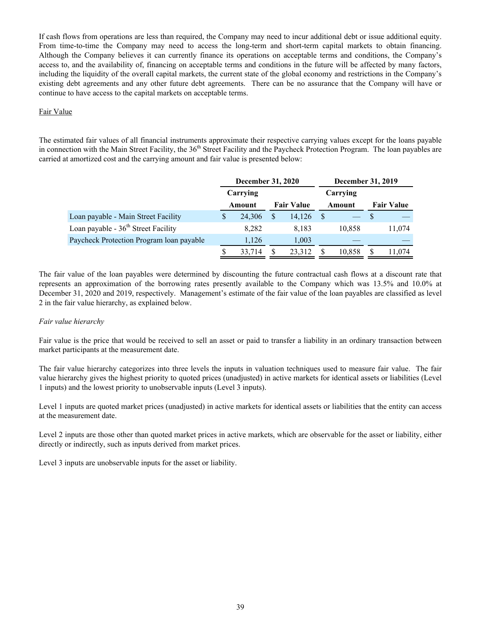If cash flows from operations are less than required, the Company may need to incur additional debt or issue additional equity. From time-to-time the Company may need to access the long-term and short-term capital markets to obtain financing. Although the Company believes it can currently finance its operations on acceptable terms and conditions, the Company's access to, and the availability of, financing on acceptable terms and conditions in the future will be affected by many factors, including the liquidity of the overall capital markets, the current state of the global economy and restrictions in the Company's existing debt agreements and any other future debt agreements. There can be no assurance that the Company will have or continue to have access to the capital markets on acceptable terms.

# Fair Value

The estimated fair values of all financial instruments approximate their respective carrying values except for the loans payable in connection with the Main Street Facility, the 36<sup>th</sup> Street Facility and the Paycheck Protection Program. The loan payables are carried at amortized cost and the carrying amount and fair value is presented below:

|                                          |          | <b>December 31, 2020</b> |  |                   |  | <b>December 31, 2019</b> |    |                   |
|------------------------------------------|----------|--------------------------|--|-------------------|--|--------------------------|----|-------------------|
|                                          | Carrying |                          |  |                   |  | Carrying                 |    |                   |
|                                          |          | Amount                   |  | <b>Fair Value</b> |  | Amount                   |    | <b>Fair Value</b> |
| Loan payable - Main Street Facility      | S        | 24,306                   |  | 14,126            |  |                          | -S |                   |
| Loan payable - $36th$ Street Facility    |          | 8,282                    |  | 8,183             |  | 10,858                   |    | 11,074            |
| Paycheck Protection Program Ioan payable |          | 1.126                    |  | 1,003             |  |                          |    |                   |
|                                          |          | 33,714                   |  | 23,312            |  | 10,858                   | S  | 11,074            |

The fair value of the loan payables were determined by discounting the future contractual cash flows at a discount rate that represents an approximation of the borrowing rates presently available to the Company which was 13.5% and 10.0% at December 31, 2020 and 2019, respectively. Management's estimate of the fair value of the loan payables are classified as level 2 in the fair value hierarchy, as explained below.

# *Fair value hierarchy*

Fair value is the price that would be received to sell an asset or paid to transfer a liability in an ordinary transaction between market participants at the measurement date.

The fair value hierarchy categorizes into three levels the inputs in valuation techniques used to measure fair value. The fair value hierarchy gives the highest priority to quoted prices (unadjusted) in active markets for identical assets or liabilities (Level 1 inputs) and the lowest priority to unobservable inputs (Level 3 inputs).

Level 1 inputs are quoted market prices (unadjusted) in active markets for identical assets or liabilities that the entity can access at the measurement date.

Level 2 inputs are those other than quoted market prices in active markets, which are observable for the asset or liability, either directly or indirectly, such as inputs derived from market prices.

Level 3 inputs are unobservable inputs for the asset or liability.